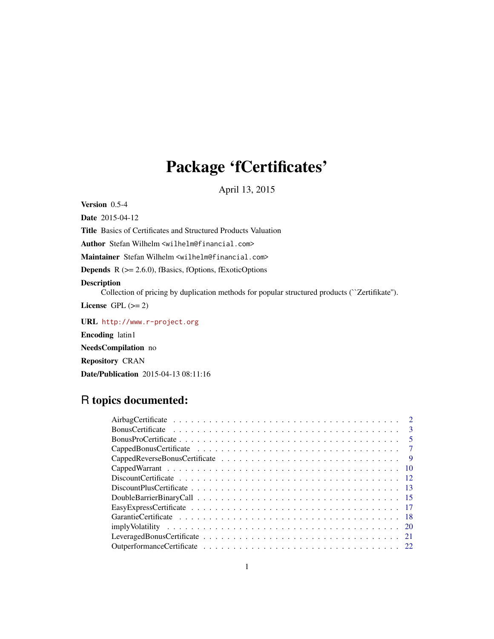# Package 'fCertificates'

April 13, 2015

<span id="page-0-0"></span>Version 0.5-4

Date 2015-04-12 Title Basics of Certificates and Structured Products Valuation Author Stefan Wilhelm <wilhelm@financial.com> Maintainer Stefan Wilhelm <wilhelm@financial.com> Depends R (>= 2.6.0), fBasics, fOptions, fExoticOptions Description Collection of pricing by duplication methods for popular structured products (``Zertifikate''). License GPL  $(>= 2)$ URL <http://www.r-project.org> Encoding latin1

NeedsCompilation no Repository CRAN Date/Publication 2015-04-13 08:11:16

# R topics documented:

| $\overline{9}$ |
|----------------|
|                |
|                |
|                |
|                |
|                |
|                |
|                |
|                |
|                |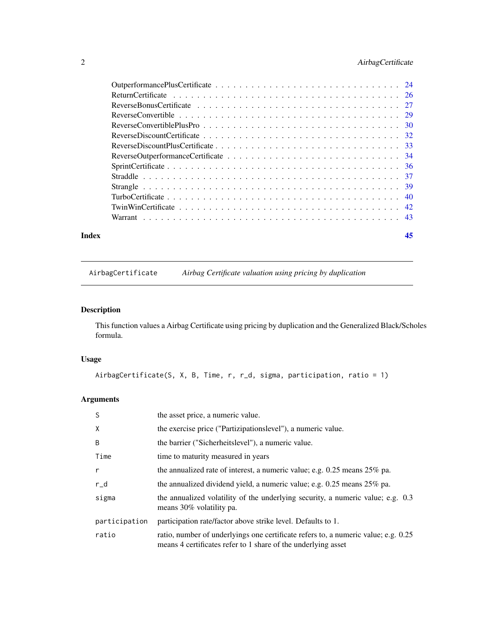# <span id="page-1-0"></span>2 AirbagCertificate

| Index |  | 45 |
|-------|--|----|

AirbagCertificate *Airbag Certificate valuation using pricing by duplication*

# Description

This function values a Airbag Certificate using pricing by duplication and the Generalized Black/Scholes formula.

# Usage

```
AirbagCertificate(S, X, B, Time, r, r_d, sigma, participation, ratio = 1)
```

| <sub>S</sub>  | the asset price, a numeric value.                                                                                                                   |
|---------------|-----------------------------------------------------------------------------------------------------------------------------------------------------|
| X             | the exercise price ("Partizipationslevel"), a numeric value.                                                                                        |
| B             | the barrier ("Sicherheitslevel"), a numeric value.                                                                                                  |
| Time          | time to maturity measured in years                                                                                                                  |
| $\mathsf{r}$  | the annualized rate of interest, a numeric value; e.g. $0.25$ means $25\%$ pa.                                                                      |
| $r_d$         | the annualized dividend yield, a numeric value; e.g. $0.25$ means $25\%$ pa.                                                                        |
| sigma         | the annualized volatility of the underlying security, a numeric value; e.g. 0.3<br>means 30% volatility pa.                                         |
| participation | participation rate/factor above strike level. Defaults to 1.                                                                                        |
| ratio         | ratio, number of underlyings one certificate refers to, a numeric value; e.g. 0.25<br>means 4 certificates refer to 1 share of the underlying asset |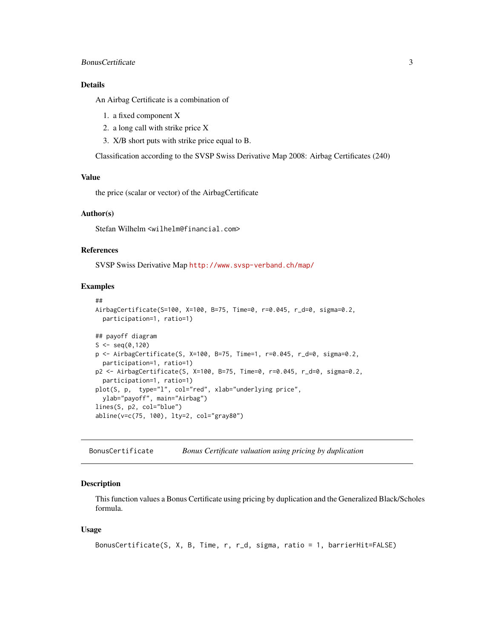# <span id="page-2-0"></span>Bonus Certificate 3

#### Details

An Airbag Certificate is a combination of

- 1. a fixed component X
- 2. a long call with strike price X
- 3. X/B short puts with strike price equal to B.

Classification according to the SVSP Swiss Derivative Map 2008: Airbag Certificates (240)

# Value

the price (scalar or vector) of the AirbagCertificate

# Author(s)

Stefan Wilhelm <wilhelm@financial.com>

# References

SVSP Swiss Derivative Map <http://www.svsp-verband.ch/map/>

#### Examples

```
##
AirbagCertificate(S=100, X=100, B=75, Time=0, r=0.045, r_d=0, sigma=0.2,
  participation=1, ratio=1)
## payoff diagram
S \leq - \text{seq}(0, 120)p <- AirbagCertificate(S, X=100, B=75, Time=1, r=0.045, r_d=0, sigma=0.2,
  participation=1, ratio=1)
p2 <- AirbagCertificate(S, X=100, B=75, Time=0, r=0.045, r_d=0, sigma=0.2,
 participation=1, ratio=1)
plot(S, p, type="l", col="red", xlab="underlying price",
 ylab="payoff", main="Airbag")
lines(S, p2, col="blue")
abline(v=c(75, 100), lty=2, col="gray80")
```
<span id="page-2-1"></span>BonusCertificate *Bonus Certificate valuation using pricing by duplication*

# Description

This function values a Bonus Certificate using pricing by duplication and the Generalized Black/Scholes formula.

#### Usage

```
BonusCertificate(S, X, B, Time, r, r_d, sigma, ratio = 1, barrierHit=FALSE)
```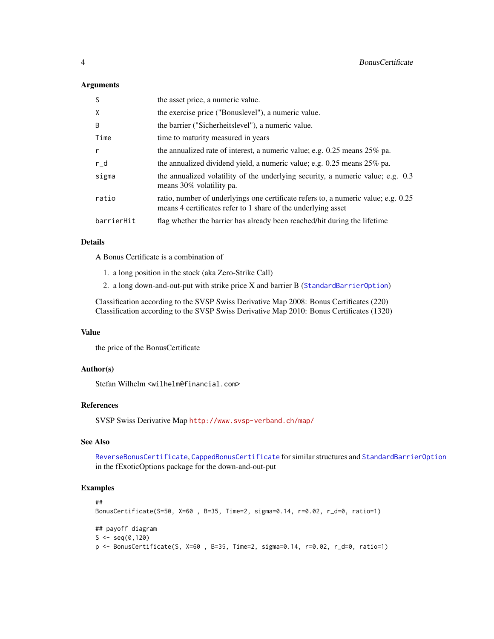#### <span id="page-3-0"></span>Arguments

| <sub>S</sub> | the asset price, a numeric value.                                                                                                                   |
|--------------|-----------------------------------------------------------------------------------------------------------------------------------------------------|
| X            | the exercise price ("Bonuslevel"), a numeric value.                                                                                                 |
| B            | the barrier ("Sicherheitslevel"), a numeric value.                                                                                                  |
| Time         | time to maturity measured in years                                                                                                                  |
| $\mathsf{r}$ | the annualized rate of interest, a numeric value; e.g. $0.25$ means $25\%$ pa.                                                                      |
| $r_d$        | the annualized dividend yield, a numeric value; e.g. $0.25$ means $25\%$ pa.                                                                        |
| sigma        | the annualized volatility of the underlying security, a numeric value; e.g. 0.3<br>means 30% volatility pa.                                         |
| ratio        | ratio, number of underlyings one certificate refers to, a numeric value; e.g. 0.25<br>means 4 certificates refer to 1 share of the underlying asset |
| barrierHit   | flag whether the barrier has already been reached/hit during the lifetime                                                                           |

# Details

A Bonus Certificate is a combination of

- 1. a long position in the stock (aka Zero-Strike Call)
- 2. a long down-and-out-put with strike price X and barrier B ([StandardBarrierOption](#page-0-0))

Classification according to the SVSP Swiss Derivative Map 2008: Bonus Certificates (220) Classification according to the SVSP Swiss Derivative Map 2010: Bonus Certificates (1320)

#### Value

the price of the BonusCertificate

# Author(s)

Stefan Wilhelm <wilhelm@financial.com>

# References

SVSP Swiss Derivative Map <http://www.svsp-verband.ch/map/>

# See Also

[ReverseBonusCertificate](#page-26-1), [CappedBonusCertificate](#page-6-1) for similar structures and [StandardBarrierOption](#page-0-0) in the fExoticOptions package for the down-and-out-put

```
##
BonusCertificate(S=50, X=60 , B=35, Time=2, sigma=0.14, r=0.02, r_d=0, ratio=1)
## payoff diagram
S \leq - \text{seq}(0, 120)p <- BonusCertificate(S, X=60 , B=35, Time=2, sigma=0.14, r=0.02, r_d=0, ratio=1)
```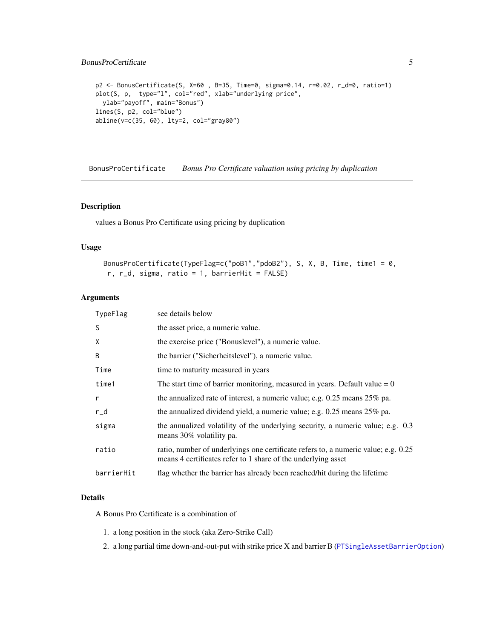```
p2 <- BonusCertificate(S, X=60 , B=35, Time=0, sigma=0.14, r=0.02, r_d=0, ratio=1)
plot(S, p, type="l", col="red", xlab="underlying price",
 ylab="payoff", main="Bonus")
lines(S, p2, col="blue")
abline(v=c(35, 60), lty=2, col="gray80")
```
BonusProCertificate *Bonus Pro Certificate valuation using pricing by duplication*

#### Description

values a Bonus Pro Certificate using pricing by duplication

#### Usage

```
BonusProCertificate(TypeFlag=c("poB1","pdoB2"), S, X, B, Time, time1 = 0,
 r, r_d, sigma, ratio = 1, barrierHit = FALSE)
```
# Arguments

| TypeFlag     | see details below                                                                                                                                   |
|--------------|-----------------------------------------------------------------------------------------------------------------------------------------------------|
| S            | the asset price, a numeric value.                                                                                                                   |
| X            | the exercise price ("Bonuslevel"), a numeric value.                                                                                                 |
| B            | the barrier ("Sicherheitslevel"), a numeric value.                                                                                                  |
| Time         | time to maturity measured in years                                                                                                                  |
| time1        | The start time of barrier monitoring, measured in years. Default value $= 0$                                                                        |
| $\mathsf{r}$ | the annualized rate of interest, a numeric value; e.g. 0.25 means 25% pa.                                                                           |
| r_d          | the annualized dividend yield, a numeric value; e.g. $0.25$ means $25\%$ pa.                                                                        |
| sigma        | the annualized volatility of the underlying security, a numeric value; e.g. 0.3<br>means 30% volatility pa.                                         |
| ratio        | ratio, number of underlyings one certificate refers to, a numeric value; e.g. 0.25<br>means 4 certificates refer to 1 share of the underlying asset |
| barrierHit   | flag whether the barrier has already been reached/hit during the lifetime                                                                           |

# Details

A Bonus Pro Certificate is a combination of

- 1. a long position in the stock (aka Zero-Strike Call)
- 2. a long partial time down-and-out-put with strike price X and barrier B ([PTSingleAssetBarrierOption](#page-0-0))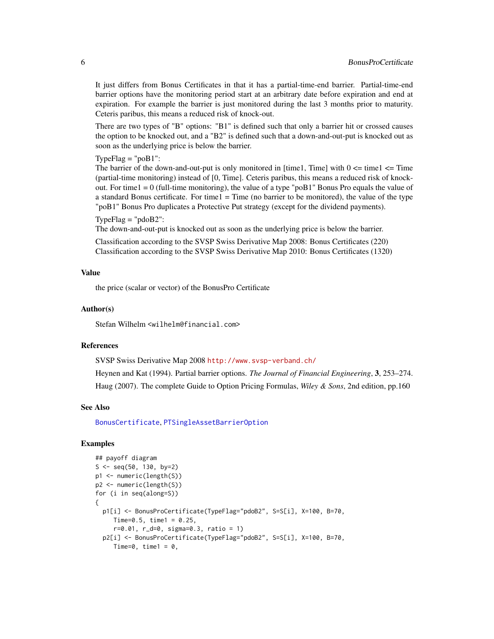It just differs from Bonus Certificates in that it has a partial-time-end barrier. Partial-time-end barrier options have the monitoring period start at an arbitrary date before expiration and end at expiration. For example the barrier is just monitored during the last 3 months prior to maturity. Ceteris paribus, this means a reduced risk of knock-out.

There are two types of "B" options: "B1" is defined such that only a barrier hit or crossed causes the option to be knocked out, and a "B2" is defined such that a down-and-out-put is knocked out as soon as the underlying price is below the barrier.

Type $Flag = "poB1":$ 

The barrier of the down-and-out-put is only monitored in [time1, Time] with  $0 \le$  time1  $\le$  Time (partial-time monitoring) instead of [0, Time]. Ceteris paribus, this means a reduced risk of knockout. For time  $1 = 0$  (full-time monitoring), the value of a type "poB1" Bonus Pro equals the value of a standard Bonus certificate. For time  $1 = Time$  (no barrier to be monitored), the value of the type "poB1" Bonus Pro duplicates a Protective Put strategy (except for the dividend payments).

 $TypeFlag = "pdoB2":$ 

The down-and-out-put is knocked out as soon as the underlying price is below the barrier.

Classification according to the SVSP Swiss Derivative Map 2008: Bonus Certificates (220) Classification according to the SVSP Swiss Derivative Map 2010: Bonus Certificates (1320)

#### Value

the price (scalar or vector) of the BonusPro Certificate

#### Author(s)

Stefan Wilhelm <wilhelm@financial.com>

# References

SVSP Swiss Derivative Map 2008 <http://www.svsp-verband.ch/>

Heynen and Kat (1994). Partial barrier options. *The Journal of Financial Engineering*, 3, 253–274. Haug (2007). The complete Guide to Option Pricing Formulas, *Wiley & Sons*, 2nd edition, pp.160

#### See Also

[BonusCertificate](#page-2-1), [PTSingleAssetBarrierOption](#page-0-0)

```
## payoff diagram
S \leq - \text{seq}(50, 130, \text{ by=2})p1 <- numeric(length(S))
p2 <- numeric(length(S))
for (i in seq(along=S))
{
  p1[i] <- BonusProCertificate(TypeFlag="pdoB2", S=S[i], X=100, B=70,
     Time=0.5, time1 = 0.25,
     r=0.01, r_d=0, sigma=0.3, ratio = 1)
  p2[i] <- BonusProCertificate(TypeFlag="pdoB2", S=S[i], X=100, B=70,
     Time=0, time1 = 0,
```
<span id="page-5-0"></span>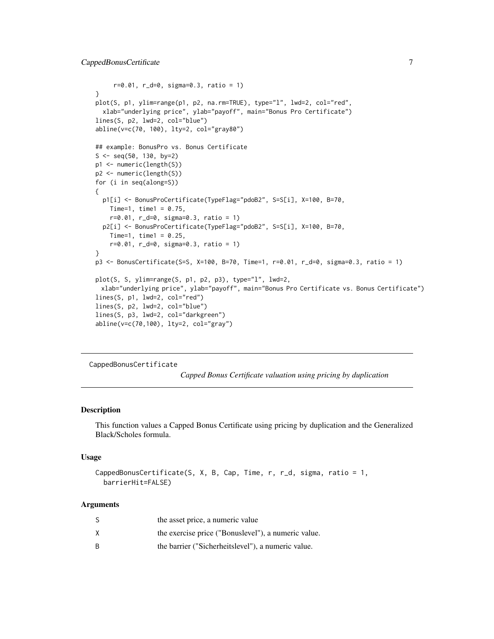```
r=0.01, r_d=0, sigma=0.3, ratio = 1)
}
plot(S, p1, ylim=range(p1, p2, na.rm=TRUE), type="l", lwd=2, col="red",
  xlab="underlying price", ylab="payoff", main="Bonus Pro Certificate")
lines(S, p2, lwd=2, col="blue")
abline(v=c(70, 100), lty=2, col="gray80")
## example: BonusPro vs. Bonus Certificate
S \leq - \text{seq}(50, 130, \text{ by=2})p1 <- numeric(length(S))
p2 <- numeric(length(S))
for (i in seq(along=S))
{
  p1[i] <- BonusProCertificate(TypeFlag="pdoB2", S=S[i], X=100, B=70,
    Time=1, time1 = 0.75,
    r=0.01, r_d=0, sigma=0.3, ratio = 1)
  p2[i] <- BonusProCertificate(TypeFlag="pdoB2", S=S[i], X=100, B=70,
    Time=1, time1 = 0.25,
    r=0.01, r_d=0, sigma=0.3, ratio = 1)
}
p3 <- BonusCertificate(S=S, X=100, B=70, Time=1, r=0.01, r_d=0, sigma=0.3, ratio = 1)
plot(S, S, ylim=range(S, p1, p2, p3), type="l", lwd=2,
 xlab="underlying price", ylab="payoff", main="Bonus Pro Certificate vs. Bonus Certificate")
lines(S, p1, lwd=2, col="red")
lines(S, p2, lwd=2, col="blue")
lines(S, p3, lwd=2, col="darkgreen")
abline(v=c(70,100), lty=2, col="gray")
```
<span id="page-6-1"></span>CappedBonusCertificate

*Capped Bonus Certificate valuation using pricing by duplication*

#### Description

This function values a Capped Bonus Certificate using pricing by duplication and the Generalized Black/Scholes formula.

#### Usage

```
CappedBonusCertificate(S, X, B, Cap, Time, r, r_d, sigma, ratio = 1,
 barrierHit=FALSE)
```

| S | the asset price, a numeric value                    |
|---|-----------------------------------------------------|
| X | the exercise price ("Bonuslevel"), a numeric value. |
| B | the barrier ("Sicherheitslevel"), a numeric value.  |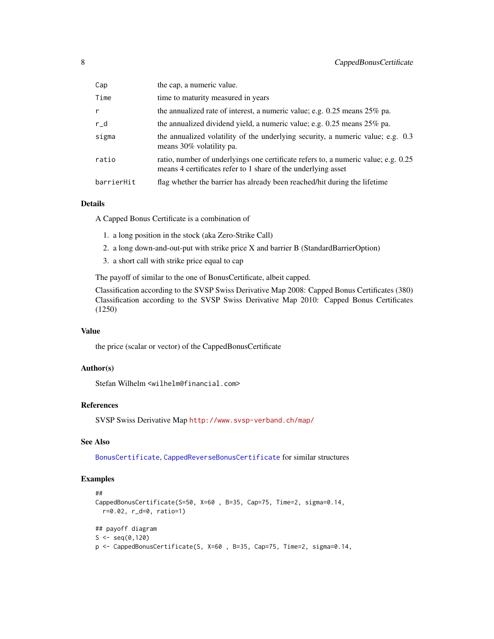<span id="page-7-0"></span>

| Cap          | the cap, a numeric value.                                                                                                                           |
|--------------|-----------------------------------------------------------------------------------------------------------------------------------------------------|
| Time         | time to maturity measured in years                                                                                                                  |
| $\mathsf{r}$ | the annualized rate of interest, a numeric value; e.g. $0.25$ means $25\%$ pa.                                                                      |
| $r_d$        | the annualized dividend yield, a numeric value; e.g. $0.25$ means $25\%$ pa.                                                                        |
| sigma        | the annualized volatility of the underlying security, a numeric value; e.g. 0.3<br>means 30% volatility pa.                                         |
| ratio        | ratio, number of underlyings one certificate refers to, a numeric value; e.g. 0.25<br>means 4 certificates refer to 1 share of the underlying asset |
| barrierHit   | flag whether the barrier has already been reached/hit during the lifetime                                                                           |

# Details

A Capped Bonus Certificate is a combination of

- 1. a long position in the stock (aka Zero-Strike Call)
- 2. a long down-and-out-put with strike price X and barrier B (StandardBarrierOption)
- 3. a short call with strike price equal to cap

The payoff of similar to the one of BonusCertificate, albeit capped.

Classification according to the SVSP Swiss Derivative Map 2008: Capped Bonus Certificates (380) Classification according to the SVSP Swiss Derivative Map 2010: Capped Bonus Certificates (1250)

# Value

the price (scalar or vector) of the CappedBonusCertificate

#### Author(s)

Stefan Wilhelm <wilhelm@financial.com>

# References

SVSP Swiss Derivative Map <http://www.svsp-verband.ch/map/>

# See Also

[BonusCertificate](#page-2-1), [CappedReverseBonusCertificate](#page-8-1) for similar structures

#### Examples

```
##
CappedBonusCertificate(S=50, X=60 , B=35, Cap=75, Time=2, sigma=0.14,
  r=0.02, r_d=0, ratio=1)
## payoff diagram
S \leq - \text{seq}(0, 120)
```
p <- CappedBonusCertificate(S, X=60 , B=35, Cap=75, Time=2, sigma=0.14,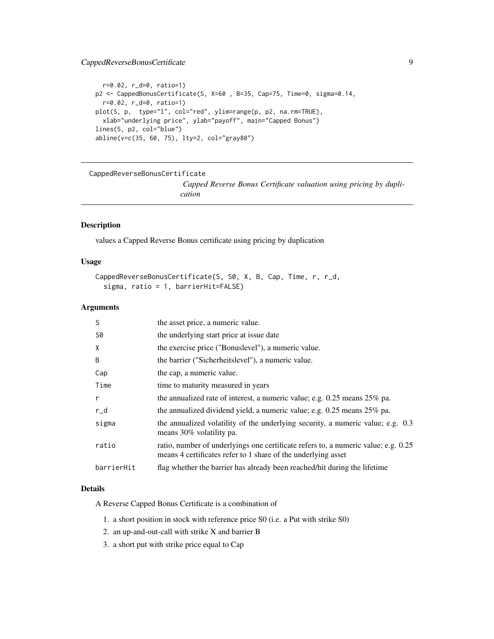# <span id="page-8-0"></span>CappedReverseBonusCertificate 9

```
r=0.02, r_d=0, ratio=1)
p2 <- CappedBonusCertificate(S, X=60 , B=35, Cap=75, Time=0, sigma=0.14,
  r=0.02, r_d=0, ratio=1)
plot(S, p, type="l", col="red", ylim=range(p, p2, na.rm=TRUE),
  xlab="underlying price", ylab="payoff", main="Capped Bonus")
lines(S, p2, col="blue")
abline(v=c(35, 60, 75), lty=2, col="gray80")
```
<span id="page-8-1"></span>CappedReverseBonusCertificate *Capped Reverse Bonus Certificate valuation using pricing by duplication*

# Description

values a Capped Reverse Bonus certificate using pricing by duplication

# Usage

```
CappedReverseBonusCertificate(S, S0, X, B, Cap, Time, r, r_d,
  sigma, ratio = 1, barrierHit=FALSE)
```
# Arguments

| S          | the asset price, a numeric value.                                                                                                                   |
|------------|-----------------------------------------------------------------------------------------------------------------------------------------------------|
| S0         | the underlying start price at issue date                                                                                                            |
| X          | the exercise price ("Bonuslevel"), a numeric value.                                                                                                 |
| B          | the barrier ("Sicherheitslevel"), a numeric value.                                                                                                  |
| Cap        | the cap, a numeric value.                                                                                                                           |
| Time       | time to maturity measured in years                                                                                                                  |
| r          | the annualized rate of interest, a numeric value; e.g. $0.25$ means $25\%$ pa.                                                                      |
| $r_d$      | the annualized dividend yield, a numeric value; e.g. $0.25$ means $25\%$ pa.                                                                        |
| sigma      | the annualized volatility of the underlying security, a numeric value; e.g. 0.3<br>means 30% volatility pa.                                         |
| ratio      | ratio, number of underlyings one certificate refers to, a numeric value; e.g. 0.25<br>means 4 certificates refer to 1 share of the underlying asset |
| barrierHit | flag whether the barrier has already been reached/hit during the lifetime                                                                           |

#### Details

A Reverse Capped Bonus Certificate is a combination of

- 1. a short position in stock with reference price S0 (i.e. a Put with strike S0)
- 2. an up-and-out-call with strike X and barrier B
- 3. a short put with strike price equal to Cap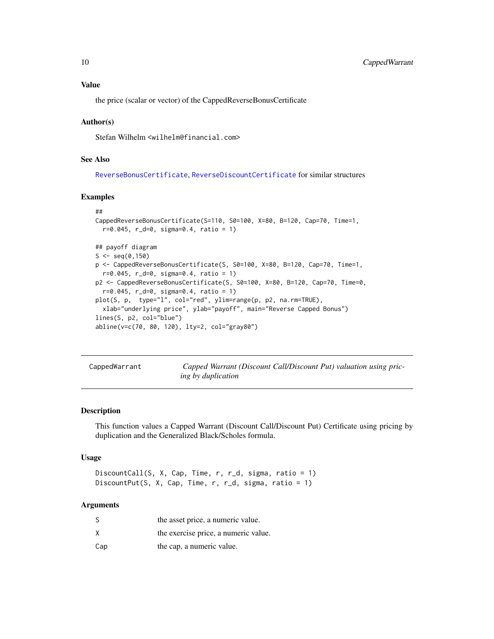# <span id="page-9-0"></span>Value

the price (scalar or vector) of the CappedReverseBonusCertificate

#### Author(s)

Stefan Wilhelm <wilhelm@financial.com>

# See Also

[ReverseBonusCertificate](#page-26-1), [ReverseDiscountCertificate](#page-31-1) for similar structures

#### Examples

```
##
CappedReverseBonusCertificate(S=110, S0=100, X=80, B=120, Cap=70, Time=1,
 r=0.045, r_d=0, sigma=0.4, ratio = 1)
## payoff diagram
S \leq - \text{seq}(0, 150)p <- CappedReverseBonusCertificate(S, S0=100, X=80, B=120, Cap=70, Time=1,
 r=0.045, r_d=0, sigma=0.4, ratio = 1)
p2 <- CappedReverseBonusCertificate(S, S0=100, X=80, B=120, Cap=70, Time=0,
 r=0.045, r_d=0, sigma=0.4, ratio = 1)
plot(S, p, type="l", col="red", ylim=range(p, p2, na.rm=TRUE),
 xlab="underlying price", ylab="payoff", main="Reverse Capped Bonus")
lines(S, p2, col="blue")
abline(v=c(70, 80, 120), lty=2, col="gray80")
```
CappedWarrant *Capped Warrant (Discount Call/Discount Put) valuation using pricing by duplication*

#### <span id="page-9-1"></span>Description

This function values a Capped Warrant (Discount Call/Discount Put) Certificate using pricing by duplication and the Generalized Black/Scholes formula.

#### Usage

```
DiscountCall(S, X, Cap, Time, r, r_d, sigma, ratio = 1)
DiscountPut(S, X, Cap, Time, r, r_d, sigma, ratio = 1)
```

| S   | the asset price, a numeric value.    |
|-----|--------------------------------------|
| x   | the exercise price, a numeric value. |
| Cap | the cap, a numeric value.            |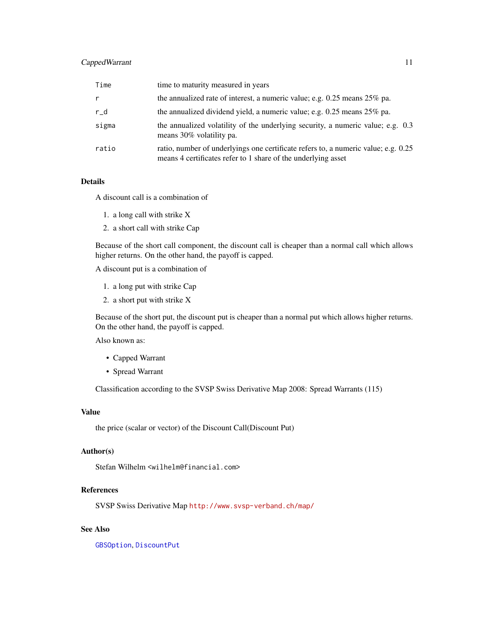# <span id="page-10-0"></span>Capped Warrant 11

| Time  | time to maturity measured in years                                                                                                                  |
|-------|-----------------------------------------------------------------------------------------------------------------------------------------------------|
| r     | the annualized rate of interest, a numeric value; e.g. $0.25$ means $25\%$ pa.                                                                      |
| $r_d$ | the annualized dividend yield, a numeric value; e.g. 0.25 means 25% pa.                                                                             |
| sigma | the annualized volatility of the underlying security, a numeric value; e.g. 0.3<br>means 30% volatility pa.                                         |
| ratio | ratio, number of underlyings one certificate refers to, a numeric value; e.g. 0.25<br>means 4 certificates refer to 1 share of the underlying asset |

# Details

A discount call is a combination of

- 1. a long call with strike X
- 2. a short call with strike Cap

Because of the short call component, the discount call is cheaper than a normal call which allows higher returns. On the other hand, the payoff is capped.

A discount put is a combination of

- 1. a long put with strike Cap
- 2. a short put with strike X

Because of the short put, the discount put is cheaper than a normal put which allows higher returns. On the other hand, the payoff is capped.

Also known as:

- Capped Warrant
- Spread Warrant

Classification according to the SVSP Swiss Derivative Map 2008: Spread Warrants (115)

# Value

the price (scalar or vector) of the Discount Call(Discount Put)

#### Author(s)

Stefan Wilhelm <wilhelm@financial.com>

#### References

SVSP Swiss Derivative Map <http://www.svsp-verband.ch/map/>

# See Also

[GBSOption](#page-0-0), [DiscountPut](#page-9-1)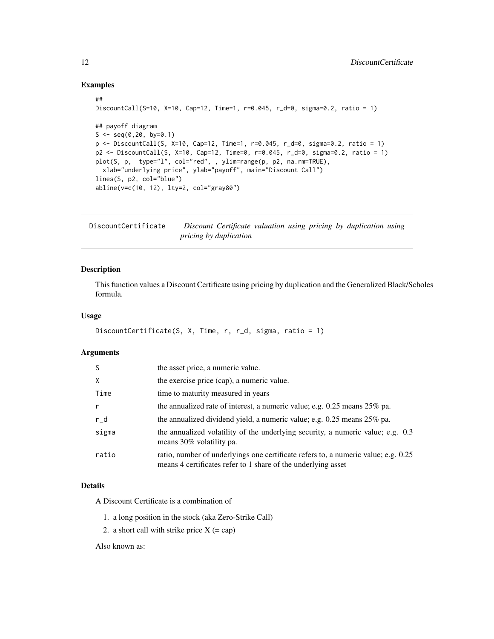#### Examples

```
##
DiscountCall(S=10, X=10, Cap=12, Time=1, r=0.045, r_d=0, sigma=0.2, ratio = 1)
## payoff diagram
S \leq -\text{seq}(0, 20, \text{ by}=0.1)p <- DiscountCall(S, X=10, Cap=12, Time=1, r=0.045, r_d=0, sigma=0.2, ratio = 1)
p2 <- DiscountCall(S, X=10, Cap=12, Time=0, r=0.045, r_d=0, sigma=0.2, ratio = 1)
plot(S, p, type="l", col="red", , ylim=range(p, p2, na.rm=TRUE),
  xlab="underlying price", ylab="payoff", main="Discount Call")
lines(S, p2, col="blue")
abline(v=c(10, 12), lty=2, col="gray80")
```
<span id="page-11-1"></span>DiscountCertificate *Discount Certificate valuation using pricing by duplication using pricing by duplication*

#### Description

This function values a Discount Certificate using pricing by duplication and the Generalized Black/Scholes formula.

# Usage

```
DiscountCertificate(S, X, Time, r, r_d, sigma, ratio = 1)
```
#### Arguments

| -S           | the asset price, a numeric value.                                                                                                                   |
|--------------|-----------------------------------------------------------------------------------------------------------------------------------------------------|
| $\times$     | the exercise price (cap), a numeric value.                                                                                                          |
| Time         | time to maturity measured in years                                                                                                                  |
| $\mathsf{r}$ | the annualized rate of interest, a numeric value; e.g. $0.25$ means $25\%$ pa.                                                                      |
| $r_d$        | the annualized dividend yield, a numeric value; e.g. $0.25$ means $25\%$ pa.                                                                        |
| sigma        | the annualized volatility of the underlying security, a numeric value; e.g. 0.3<br>means 30% volatility pa.                                         |
| ratio        | ratio, number of underlyings one certificate refers to, a numeric value; e.g. 0.25<br>means 4 certificates refer to 1 share of the underlying asset |

#### Details

A Discount Certificate is a combination of

- 1. a long position in the stock (aka Zero-Strike Call)
- 2. a short call with strike price  $X$  (= cap)

Also known as:

<span id="page-11-0"></span>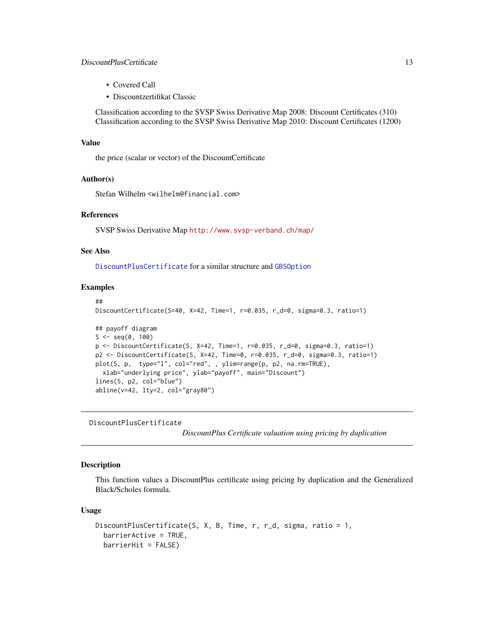# <span id="page-12-0"></span>DiscountPlusCertificate 13

- Covered Call
- Discountzertifikat Classic

Classification according to the SVSP Swiss Derivative Map 2008: Discount Certificates (310) Classification according to the SVSP Swiss Derivative Map 2010: Discount Certificates (1200)

#### Value

the price (scalar or vector) of the DiscountCertificate

#### Author(s)

Stefan Wilhelm <wilhelm@financial.com>

#### References

SVSP Swiss Derivative Map <http://www.svsp-verband.ch/map/>

#### See Also

[DiscountPlusCertificate](#page-12-1) for a similar structure and [GBSOption](#page-0-0)

#### Examples

```
##
DiscountCertificate(S=40, X=42, Time=1, r=0.035, r_d=0, sigma=0.3, ratio=1)
## payoff diagram
S \leq - \text{seq}(0, 100)p <- DiscountCertificate(S, X=42, Time=1, r=0.035, r_d=0, sigma=0.3, ratio=1)
p2 <- DiscountCertificate(S, X=42, Time=0, r=0.035, r_d=0, sigma=0.3, ratio=1)
plot(S, p, type="l", col="red", , ylim=range(p, p2, na.rm=TRUE),
  xlab="underlying price", ylab="payoff", main="Discount")
lines(S, p2, col="blue")
abline(v=42, lty=2, col="gray80")
```
<span id="page-12-1"></span>DiscountPlusCertificate

*DiscountPlus Certificate valuation using pricing by duplication*

#### Description

This function values a DiscountPlus certificate using pricing by duplication and the Generalized Black/Scholes formula.

#### Usage

```
DiscountPlusCertificate(S, X, B, Time, r, r_d, sigma, ratio = 1,
 barrierActive = TRUE,
 barrierHit = FALSE)
```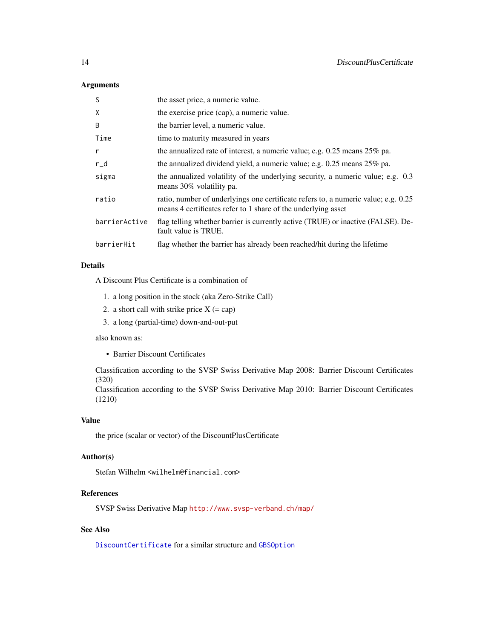# <span id="page-13-0"></span>Arguments

| S             | the asset price, a numeric value.                                                                                                                   |
|---------------|-----------------------------------------------------------------------------------------------------------------------------------------------------|
| X             | the exercise price (cap), a numeric value.                                                                                                          |
| B             | the barrier level, a numeric value.                                                                                                                 |
| Time          | time to maturity measured in years                                                                                                                  |
| r             | the annualized rate of interest, a numeric value; e.g. $0.25$ means $25\%$ pa.                                                                      |
| $r_d$         | the annualized dividend yield, a numeric value; e.g. 0.25 means 25% pa.                                                                             |
| sigma         | the annualized volatility of the underlying security, a numeric value; e.g. 0.3<br>means 30% volatility pa.                                         |
| ratio         | ratio, number of underlyings one certificate refers to, a numeric value; e.g. 0.25<br>means 4 certificates refer to 1 share of the underlying asset |
| barrierActive | flag telling whether barrier is currently active (TRUE) or inactive (FALSE). De-<br>fault value is TRUE.                                            |
| barrierHit    | flag whether the barrier has already been reached/hit during the lifetime                                                                           |

# Details

A Discount Plus Certificate is a combination of

- 1. a long position in the stock (aka Zero-Strike Call)
- 2. a short call with strike price  $X$  (= cap)
- 3. a long (partial-time) down-and-out-put

also known as:

• Barrier Discount Certificates

Classification according to the SVSP Swiss Derivative Map 2008: Barrier Discount Certificates (320)

Classification according to the SVSP Swiss Derivative Map 2010: Barrier Discount Certificates (1210)

#### Value

the price (scalar or vector) of the DiscountPlusCertificate

# Author(s)

Stefan Wilhelm <wilhelm@financial.com>

# References

SVSP Swiss Derivative Map <http://www.svsp-verband.ch/map/>

# See Also

[DiscountCertificate](#page-11-1) for a similar structure and [GBSOption](#page-0-0)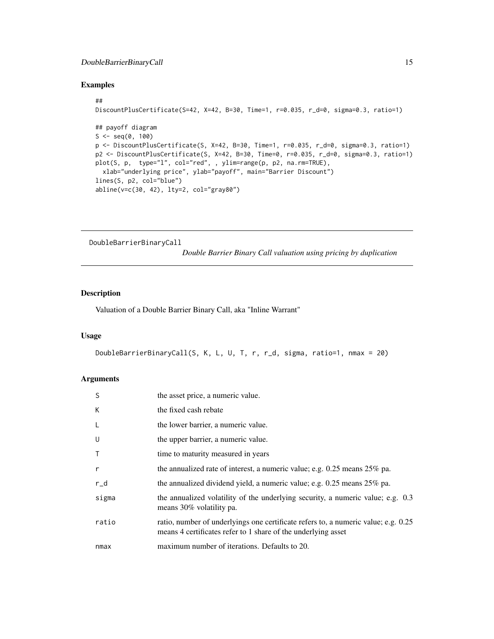# <span id="page-14-0"></span>DoubleBarrierBinaryCall 15

#### Examples

```
##
DiscountPlusCertificate(S=42, X=42, B=30, Time=1, r=0.035, r_d=0, sigma=0.3, ratio=1)
## payoff diagram
S \leq - \text{seq}(0, 100)p <- DiscountPlusCertificate(S, X=42, B=30, Time=1, r=0.035, r_d=0, sigma=0.3, ratio=1)
p2 <- DiscountPlusCertificate(S, X=42, B=30, Time=0, r=0.035, r_d=0, sigma=0.3, ratio=1)
plot(S, p, type="l", col="red", , ylim=range(p, p2, na.rm=TRUE),
  xlab="underlying price", ylab="payoff", main="Barrier Discount")
lines(S, p2, col="blue")
abline(v=c(30, 42), lty=2, col="gray80")
```
DoubleBarrierBinaryCall

*Double Barrier Binary Call valuation using pricing by duplication*

# Description

Valuation of a Double Barrier Binary Call, aka "Inline Warrant"

#### Usage

```
DoubleBarrierBinaryCall(S, K, L, U, T, r, r_d, sigma, ratio=1, nmax = 20)
```

| S            | the asset price, a numeric value.                                                                                                                   |
|--------------|-----------------------------------------------------------------------------------------------------------------------------------------------------|
| K            | the fixed cash rebate                                                                                                                               |
| L            | the lower barrier, a numeric value.                                                                                                                 |
| U            | the upper barrier, a numeric value.                                                                                                                 |
| $\mathsf{T}$ | time to maturity measured in years                                                                                                                  |
| $\mathsf{r}$ | the annualized rate of interest, a numeric value; e.g. $0.25$ means $25\%$ pa.                                                                      |
| $r_d$        | the annualized dividend yield, a numeric value; e.g. $0.25$ means $25\%$ pa.                                                                        |
| sigma        | the annualized volatility of the underlying security, a numeric value; e.g. 0.3<br>means 30% volatility pa.                                         |
| ratio        | ratio, number of underlyings one certificate refers to, a numeric value; e.g. 0.25<br>means 4 certificates refer to 1 share of the underlying asset |
| nmax         | maximum number of iterations. Defaults to 20.                                                                                                       |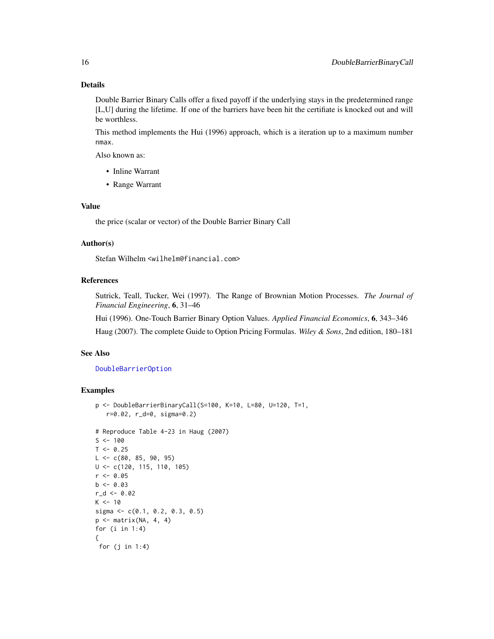#### Details

Double Barrier Binary Calls offer a fixed payoff if the underlying stays in the predetermined range [L,U] during the lifetime. If one of the barriers have been hit the certifiate is knocked out and will be worthless.

This method implements the Hui (1996) approach, which is a iteration up to a maximum number nmax.

Also known as:

- Inline Warrant
- Range Warrant

#### Value

the price (scalar or vector) of the Double Barrier Binary Call

# Author(s)

Stefan Wilhelm <wilhelm@financial.com>

#### References

Sutrick, Teall, Tucker, Wei (1997). The Range of Brownian Motion Processes. *The Journal of Financial Engineering*, 6, 31–46

Hui (1996). One-Touch Barrier Binary Option Values. *Applied Financial Economics*, 6, 343–346

Haug (2007). The complete Guide to Option Pricing Formulas. *Wiley & Sons*, 2nd edition, 180–181

#### See Also

[DoubleBarrierOption](#page-0-0)

```
p <- DoubleBarrierBinaryCall(S=100, K=10, L=80, U=120, T=1,
   r=0.02, r_d=0, sigma=0.2)
# Reproduce Table 4-23 in Haug (2007)
S < - 100T < -0.25L \leq -c(80, 85, 90, 95)U <- c(120, 115, 110, 105)
r <- 0.05
b \le 0.03r_d < -0.02K < -10sigma <- c(0.1, 0.2, 0.3, 0.5)
p \leftarrow matrix(NA, 4, 4)
for (i in 1:4)
{
 for (j in 1:4)
```
<span id="page-15-0"></span>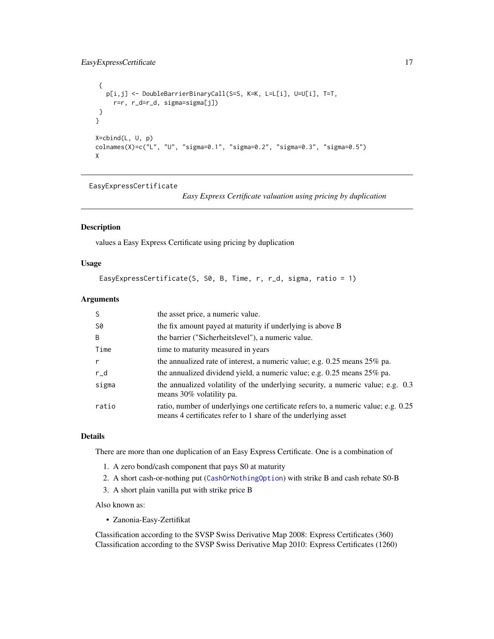```
{
   p[i,j] <- DoubleBarrierBinaryCall(S=S, K=K, L=L[i], U=U[i], T=T,
     r=r, r_d=r_d, sigma=sigma[j])
 }
}
X=cbind(L, U, p)
colnames(X)=c("L", "U", "sigma=0.1", "sigma=0.2", "sigma=0.3", "sigma=0.5")
X
```
EasyExpressCertificate

*Easy Express Certificate valuation using pricing by duplication*

# Description

values a Easy Express Certificate using pricing by duplication

# Usage

```
EasyExpressCertificate(S, S0, B, Time, r, r_d, sigma, ratio = 1)
```
#### Arguments

|              | the asset price, a numeric value.                                                                                                                   |
|--------------|-----------------------------------------------------------------------------------------------------------------------------------------------------|
| S0           | the fix amount payed at maturity if underlying is above B                                                                                           |
| <sup>B</sup> | the barrier ("Sicherheitslevel"), a numeric value.                                                                                                  |
| Time         | time to maturity measured in years                                                                                                                  |
|              | the annualized rate of interest, a numeric value; e.g. $0.25$ means $25\%$ pa.                                                                      |
| $r_d$        | the annualized dividend yield, a numeric value; e.g. $0.25$ means $25\%$ pa.                                                                        |
| sigma        | the annualized volatility of the underlying security, a numeric value; e.g. 0.3<br>means 30% volatility pa.                                         |
| ratio        | ratio, number of underlyings one certificate refers to, a numeric value; e.g. 0.25<br>means 4 certificates refer to 1 share of the underlying asset |

#### Details

There are more than one duplication of an Easy Express Certificate. One is a combination of

- 1. A zero bond/cash component that pays S0 at maturity
- 2. A short cash-or-nothing put ([CashOrNothingOption](#page-0-0)) with strike B and cash rebate S0-B
- 3. A short plain vanilla put with strike price B

Also known as:

• Zanonia-Easy-Zertifikat

Classification according to the SVSP Swiss Derivative Map 2008: Express Certificates (360) Classification according to the SVSP Swiss Derivative Map 2010: Express Certificates (1260)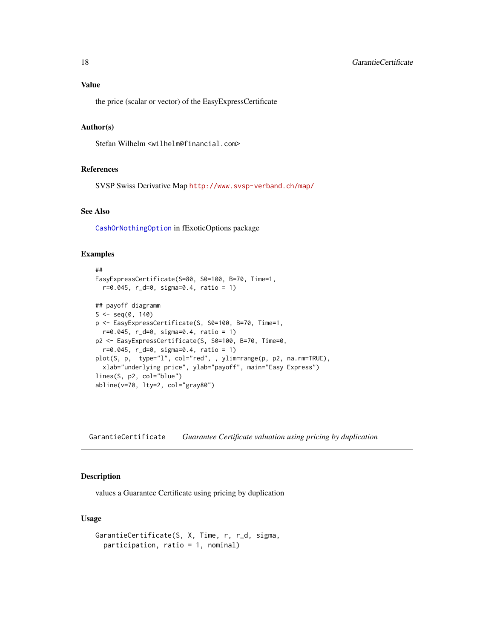# <span id="page-17-0"></span>Value

the price (scalar or vector) of the EasyExpressCertificate

#### Author(s)

Stefan Wilhelm <wilhelm@financial.com>

# References

SVSP Swiss Derivative Map <http://www.svsp-verband.ch/map/>

# See Also

[CashOrNothingOption](#page-0-0) in fExoticOptions package

# Examples

```
##
EasyExpressCertificate(S=80, S0=100, B=70, Time=1,
  r=0.045, r_d=0, sigma=0.4, ratio = 1)
## payoff diagramm
S \leq -seq(0, 140)p <- EasyExpressCertificate(S, S0=100, B=70, Time=1,
  r=0.045, r_d=0, sigma=0.4, ratio = 1)
p2 <- EasyExpressCertificate(S, S0=100, B=70, Time=0,
  r=0.045, r_d=0, sigma=0.4, ratio = 1)
plot(S, p, type="l", col="red", , ylim=range(p, p2, na.rm=TRUE),
  xlab="underlying price", ylab="payoff", main="Easy Express")
lines(S, p2, col="blue")
abline(v=70, lty=2, col="gray80")
```
GarantieCertificate *Guarantee Certificate valuation using pricing by duplication*

#### Description

values a Guarantee Certificate using pricing by duplication

# Usage

```
GarantieCertificate(S, X, Time, r, r_d, sigma,
  participation, ratio = 1, nominal)
```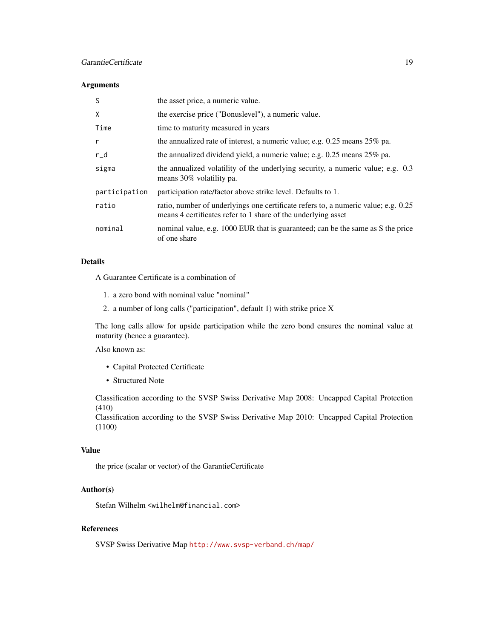# GarantieCertificate 19

#### Arguments

| S             | the asset price, a numeric value.                                                                                                                   |
|---------------|-----------------------------------------------------------------------------------------------------------------------------------------------------|
| X             | the exercise price ("Bonuslevel"), a numeric value.                                                                                                 |
| Time          | time to maturity measured in years                                                                                                                  |
| $\mathsf{r}$  | the annualized rate of interest, a numeric value; e.g. $0.25$ means $25\%$ pa.                                                                      |
| $r_d$         | the annualized dividend yield, a numeric value; e.g. 0.25 means 25% pa.                                                                             |
| sigma         | the annualized volatility of the underlying security, a numeric value; e.g. 0.3<br>means 30% volatility pa.                                         |
| participation | participation rate/factor above strike level. Defaults to 1.                                                                                        |
| ratio         | ratio, number of underlyings one certificate refers to, a numeric value; e.g. 0.25<br>means 4 certificates refer to 1 share of the underlying asset |
| nominal       | nominal value, e.g. 1000 EUR that is guaranteed; can be the same as S the price<br>of one share                                                     |

# Details

A Guarantee Certificate is a combination of

- 1. a zero bond with nominal value "nominal"
- 2. a number of long calls ("participation", default 1) with strike price X

The long calls allow for upside participation while the zero bond ensures the nominal value at maturity (hence a guarantee).

Also known as:

- Capital Protected Certificate
- Structured Note

Classification according to the SVSP Swiss Derivative Map 2008: Uncapped Capital Protection (410)

Classification according to the SVSP Swiss Derivative Map 2010: Uncapped Capital Protection (1100)

# Value

the price (scalar or vector) of the GarantieCertificate

#### Author(s)

Stefan Wilhelm <wilhelm@financial.com>

#### References

SVSP Swiss Derivative Map <http://www.svsp-verband.ch/map/>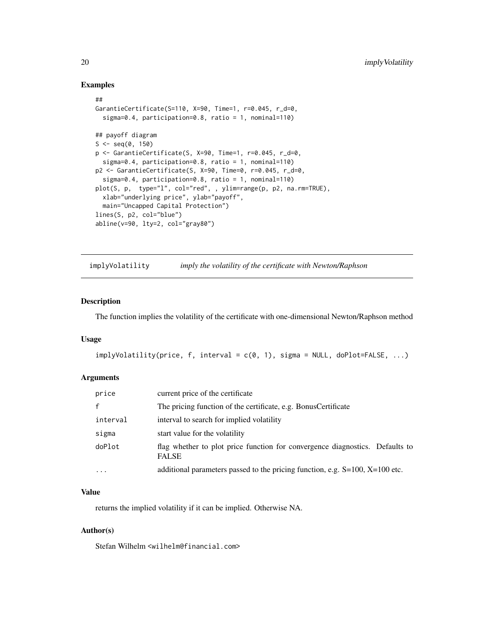#### Examples

```
##
GarantieCertificate(S=110, X=90, Time=1, r=0.045, r_d=0,
  sigma=0.4, participation=0.8, ratio = 1, nominal=110)
## payoff diagram
S \leq - \text{seq}(0, 150)p <- GarantieCertificate(S, X=90, Time=1, r=0.045, r_d=0,
  sigma=0.4, participation=0.8, ratio = 1, nominal=110)
p2 <- GarantieCertificate(S, X=90, Time=0, r=0.045, r_d=0,
  sigma=0.4, participation=0.8, ratio = 1, nominal=110)
plot(S, p, type="l", col="red", , ylim=range(p, p2, na.rm=TRUE),
  xlab="underlying price", ylab="payoff",
  main="Uncapped Capital Protection")
lines(S, p2, col="blue")
abline(v=90, lty=2, col="gray80")
```
implyVolatility *imply the volatility of the certificate with Newton/Raphson*

# Description

The function implies the volatility of the certificate with one-dimensional Newton/Raphson method

#### Usage

```
implyVolatility(price, f, interval = c(0, 1), sigma = NULL, doPlot=False, ...)
```
#### Arguments

| price        | current price of the certificate                                                             |
|--------------|----------------------------------------------------------------------------------------------|
| $\mathsf{f}$ | The pricing function of the certificate, e.g. Bonus Certificate                              |
| interval     | interval to search for implied volatility                                                    |
| sigma        | start value for the volatility                                                               |
| doPlot       | flag whether to plot price function for convergence diagnostics. Defaults to<br><b>FALSE</b> |
| $\cdots$     | additional parameters passed to the pricing function, e.g. $S=100$ , $X=100$ etc.            |

# Value

returns the implied volatility if it can be implied. Otherwise NA.

#### Author(s)

Stefan Wilhelm <wilhelm@financial.com>

<span id="page-19-0"></span>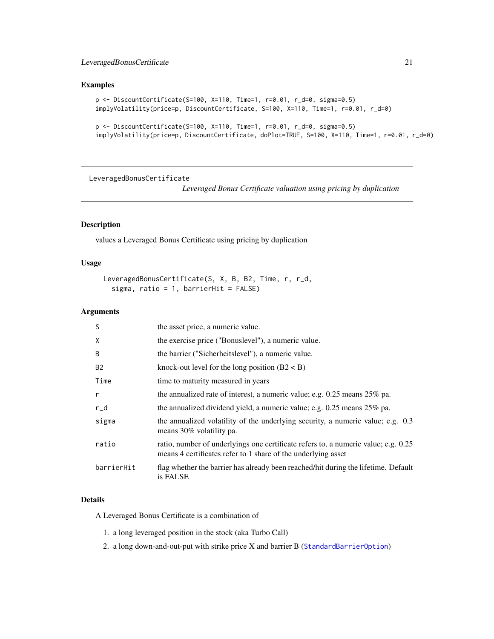# <span id="page-20-0"></span>LeveragedBonusCertificate 21

# Examples

```
p <- DiscountCertificate(S=100, X=110, Time=1, r=0.01, r_d=0, sigma=0.5)
implyVolatility(price=p, DiscountCertificate, S=100, X=110, Time=1, r=0.01, r_d=0)
```

```
p <- DiscountCertificate(S=100, X=110, Time=1, r=0.01, r_d=0, sigma=0.5)
implyVolatility(price=p, DiscountCertificate, doPlot=TRUE, S=100, X=110, Time=1, r=0.01, r_d=0)
```
LeveragedBonusCertificate

*Leveraged Bonus Certificate valuation using pricing by duplication*

# Description

values a Leveraged Bonus Certificate using pricing by duplication

# Usage

```
LeveragedBonusCertificate(S, X, B, B2, Time, r, r_d,
  sigma, ratio = 1, barrierHit = FALSE)
```
# Arguments

| S          | the asset price, a numeric value.                                                                                                                   |
|------------|-----------------------------------------------------------------------------------------------------------------------------------------------------|
| X          | the exercise price ("Bonuslevel"), a numeric value.                                                                                                 |
| B          | the barrier ("Sicherheitslevel"), a numeric value.                                                                                                  |
| <b>B2</b>  | knock-out level for the long position $(B2 < B)$                                                                                                    |
| Time       | time to maturity measured in years                                                                                                                  |
| r          | the annualized rate of interest, a numeric value; e.g. $0.25$ means $25\%$ pa.                                                                      |
| $r_d$      | the annualized dividend yield, a numeric value; e.g. $0.25$ means $25\%$ pa.                                                                        |
| sigma      | the annualized volatility of the underlying security, a numeric value; e.g. 0.3<br>means 30% volatility pa.                                         |
| ratio      | ratio, number of underlyings one certificate refers to, a numeric value; e.g. 0.25<br>means 4 certificates refer to 1 share of the underlying asset |
| barrierHit | flag whether the barrier has already been reached/hit during the lifetime. Default<br>is FALSE                                                      |

#### Details

A Leveraged Bonus Certificate is a combination of

- 1. a long leveraged position in the stock (aka Turbo Call)
- 2. a long down-and-out-put with strike price X and barrier B ([StandardBarrierOption](#page-0-0))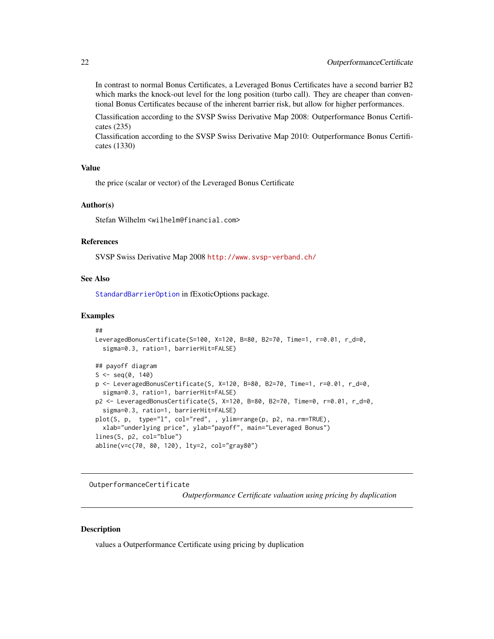<span id="page-21-0"></span>In contrast to normal Bonus Certificates, a Leveraged Bonus Certificates have a second barrier B2 which marks the knock-out level for the long position (turbo call). They are cheaper than conventional Bonus Certificates because of the inherent barrier risk, but allow for higher performances.

Classification according to the SVSP Swiss Derivative Map 2008: Outperformance Bonus Certificates (235)

Classification according to the SVSP Swiss Derivative Map 2010: Outperformance Bonus Certificates (1330)

#### Value

the price (scalar or vector) of the Leveraged Bonus Certificate

#### Author(s)

Stefan Wilhelm <wilhelm@financial.com>

#### References

SVSP Swiss Derivative Map 2008 <http://www.svsp-verband.ch/>

#### See Also

[StandardBarrierOption](#page-0-0) in fExoticOptions package.

#### Examples

```
##
LeveragedBonusCertificate(S=100, X=120, B=80, B2=70, Time=1, r=0.01, r_d=0,
  sigma=0.3, ratio=1, barrierHit=FALSE)
## payoff diagram
S \leq -seq(0, 140)p <- LeveragedBonusCertificate(S, X=120, B=80, B2=70, Time=1, r=0.01, r_d=0,
  sigma=0.3, ratio=1, barrierHit=FALSE)
p2 <- LeveragedBonusCertificate(S, X=120, B=80, B2=70, Time=0, r=0.01, r_d=0,
  sigma=0.3, ratio=1, barrierHit=FALSE)
plot(S, p, type="l", col="red", , ylim=range(p, p2, na.rm=TRUE),
  xlab="underlying price", ylab="payoff", main="Leveraged Bonus")
lines(S, p2, col="blue")
abline(v=c(70, 80, 120), lty=2, col="gray80")
```
<span id="page-21-1"></span>OutperformanceCertificate

*Outperformance Certificate valuation using pricing by duplication*

#### **Description**

values a Outperformance Certificate using pricing by duplication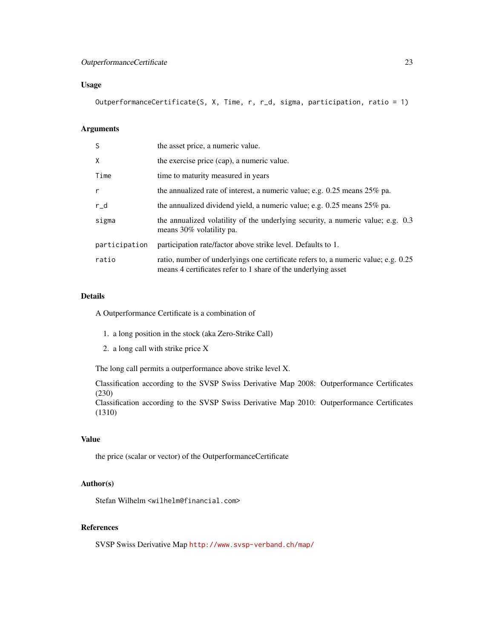# OutperformanceCertificate 23

# Usage

OutperformanceCertificate(S, X, Time, r, r\_d, sigma, participation, ratio = 1)

# Arguments

| S             | the asset price, a numeric value.                                                                                                                   |
|---------------|-----------------------------------------------------------------------------------------------------------------------------------------------------|
| X             | the exercise price (cap), a numeric value.                                                                                                          |
| Time          | time to maturity measured in years                                                                                                                  |
| r             | the annualized rate of interest, a numeric value; e.g. $0.25$ means $25\%$ pa.                                                                      |
| $r_d$         | the annualized dividend yield, a numeric value; e.g. $0.25$ means $25\%$ pa.                                                                        |
| sigma         | the annualized volatility of the underlying security, a numeric value; e.g. 0.3<br>means 30% volatility pa.                                         |
| participation | participation rate/factor above strike level. Defaults to 1.                                                                                        |
| ratio         | ratio, number of underlyings one certificate refers to, a numeric value; e.g. 0.25<br>means 4 certificates refer to 1 share of the underlying asset |

# Details

A Outperformance Certificate is a combination of

- 1. a long position in the stock (aka Zero-Strike Call)
- 2. a long call with strike price X

The long call permits a outperformance above strike level X.

Classification according to the SVSP Swiss Derivative Map 2008: Outperformance Certificates (230)

Classification according to the SVSP Swiss Derivative Map 2010: Outperformance Certificates (1310)

# Value

the price (scalar or vector) of the OutperformanceCertificate

# Author(s)

Stefan Wilhelm <wilhelm@financial.com>

# References

SVSP Swiss Derivative Map <http://www.svsp-verband.ch/map/>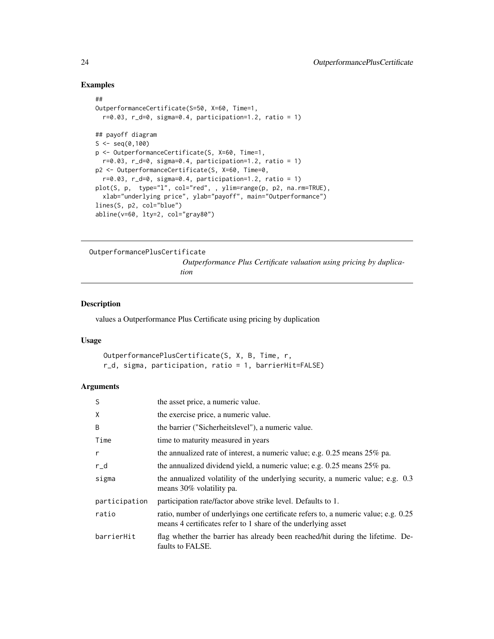#### Examples

```
##
OutperformanceCertificate(S=50, X=60, Time=1,
  r=0.03, r_d=0, sigma=0.4, participation=1.2, ratio = 1)
## payoff diagram
S < -seq(0,100)p <- OutperformanceCertificate(S, X=60, Time=1,
  r=0.03, r_d=0, sigma=0.4, participation=1.2, ratio = 1)
p2 <- OutperformanceCertificate(S, X=60, Time=0,
  r=0.03, r_d=0, sigma=0.4, participation=1.2, ratio = 1)
plot(S, p, type="l", col="red", , ylim=range(p, p2, na.rm=TRUE),
  xlab="underlying price", ylab="payoff", main="Outperformance")
lines(S, p2, col="blue")
abline(v=60, lty=2, col="gray80")
```
OutperformancePlusCertificate

*Outperformance Plus Certificate valuation using pricing by duplication*

#### Description

values a Outperformance Plus Certificate using pricing by duplication

#### Usage

```
OutperformancePlusCertificate(S, X, B, Time, r,
r_d, sigma, participation, ratio = 1, barrierHit=FALSE)
```

| S             | the asset price, a numeric value.                                                                                                                   |
|---------------|-----------------------------------------------------------------------------------------------------------------------------------------------------|
| X             | the exercise price, a numeric value.                                                                                                                |
| B             | the barrier ("Sicherheitslevel"), a numeric value.                                                                                                  |
| Time          | time to maturity measured in years                                                                                                                  |
| r             | the annualized rate of interest, a numeric value; e.g. $0.25$ means $25\%$ pa.                                                                      |
| $r_d$         | the annualized dividend yield, a numeric value; e.g. $0.25$ means $25\%$ pa.                                                                        |
| sigma         | the annualized volatility of the underlying security, a numeric value; e.g. 0.3<br>means 30% volatility pa.                                         |
| participation | participation rate/factor above strike level. Defaults to 1.                                                                                        |
| ratio         | ratio, number of underlyings one certificate refers to, a numeric value; e.g. 0.25<br>means 4 certificates refer to 1 share of the underlying asset |
| barrierHit    | flag whether the barrier has already been reached/hit during the lifetime. De-<br>faults to FALSE.                                                  |

<span id="page-23-0"></span>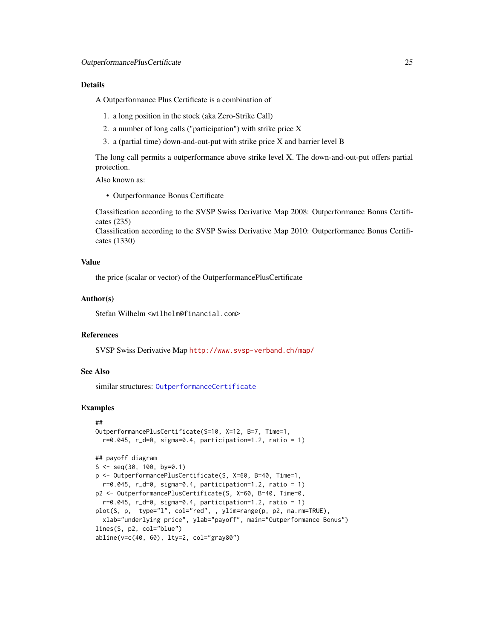#### <span id="page-24-0"></span>Details

A Outperformance Plus Certificate is a combination of

- 1. a long position in the stock (aka Zero-Strike Call)
- 2. a number of long calls ("participation") with strike price X
- 3. a (partial time) down-and-out-put with strike price X and barrier level B

The long call permits a outperformance above strike level X. The down-and-out-put offers partial protection.

Also known as:

• Outperformance Bonus Certificate

Classification according to the SVSP Swiss Derivative Map 2008: Outperformance Bonus Certificates (235)

Classification according to the SVSP Swiss Derivative Map 2010: Outperformance Bonus Certificates (1330)

# Value

the price (scalar or vector) of the OutperformancePlusCertificate

#### Author(s)

Stefan Wilhelm <wilhelm@financial.com>

#### References

SVSP Swiss Derivative Map <http://www.svsp-verband.ch/map/>

#### See Also

similar structures: [OutperformanceCertificate](#page-21-1)

```
##
OutperformancePlusCertificate(S=10, X=12, B=7, Time=1,
  r=0.045, r_d=0, sigma=0.4, participation=1.2, ratio = 1)
## payoff diagram
S \leq -\text{seq}(30, 100, \text{ by=0.1})p <- OutperformancePlusCertificate(S, X=60, B=40, Time=1,
  r=0.045, r_d=0, sigma=0.4, participation=1.2, ratio = 1)
p2 <- OutperformancePlusCertificate(S, X=60, B=40, Time=0,
  r=0.045, r_d=0, sigma=0.4, participation=1.2, ratio = 1)
plot(S, p, type="l", col="red", , ylim=range(p, p2, na.rm=TRUE),
  xlab="underlying price", ylab="payoff", main="Outperformance Bonus")
lines(S, p2, col="blue")
abline(v=c(40, 60), lty=2, col="gray80")
```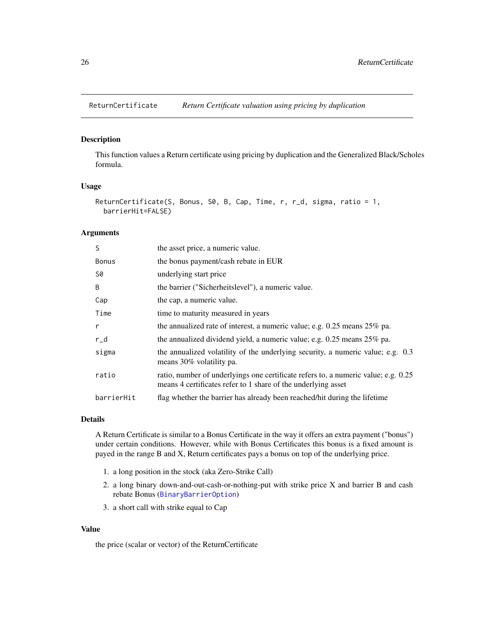<span id="page-25-0"></span>

#### Description

This function values a Return certificate using pricing by duplication and the Generalized Black/Scholes formula.

# Usage

```
ReturnCertificate(S, Bonus, S0, B, Cap, Time, r, r_d, sigma, ratio = 1,
 barrierHit=FALSE)
```
# Arguments

| S            | the asset price, a numeric value.                                                                                                                   |
|--------------|-----------------------------------------------------------------------------------------------------------------------------------------------------|
| <b>Bonus</b> | the bonus payment/cash rebate in EUR                                                                                                                |
| S0           | underlying start price                                                                                                                              |
| B            | the barrier ("Sicherheitslevel"), a numeric value.                                                                                                  |
| Cap          | the cap, a numeric value.                                                                                                                           |
| Time         | time to maturity measured in years                                                                                                                  |
| r            | the annualized rate of interest, a numeric value; e.g. $0.25$ means $25\%$ pa.                                                                      |
| $r_d$        | the annualized dividend yield, a numeric value; e.g. 0.25 means 25% pa.                                                                             |
| sigma        | the annualized volatility of the underlying security, a numeric value; e.g. 0.3<br>means 30% volatility pa.                                         |
| ratio        | ratio, number of underlyings one certificate refers to, a numeric value; e.g. 0.25<br>means 4 certificates refer to 1 share of the underlying asset |
| barrierHit   | flag whether the barrier has already been reached/hit during the lifetime                                                                           |

#### Details

A Return Certificate is similar to a Bonus Certificate in the way it offers an extra payment ("bonus") under certain conditions. However, while with Bonus Certificates this bonus is a fixed amount is payed in the range B and X, Return certificates pays a bonus on top of the underlying price.

- 1. a long position in the stock (aka Zero-Strike Call)
- 2. a long binary down-and-out-cash-or-nothing-put with strike price X and barrier B and cash rebate Bonus ([BinaryBarrierOption](#page-0-0))
- 3. a short call with strike equal to Cap

#### Value

the price (scalar or vector) of the ReturnCertificate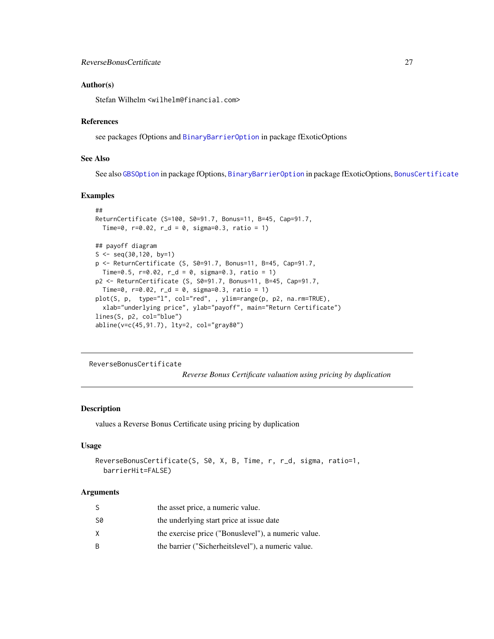#### <span id="page-26-0"></span>Author(s)

Stefan Wilhelm <wilhelm@financial.com>

#### References

see packages fOptions and [BinaryBarrierOption](#page-0-0) in package fExoticOptions

# See Also

See also [GBSOption](#page-0-0) in package fOptions, [BinaryBarrierOption](#page-0-0) in package fExoticOptions, [BonusCertificate](#page-2-1)

#### Examples

```
##
ReturnCertificate (S=100, S0=91.7, Bonus=11, B=45, Cap=91.7,
  Time=0, r=0.02, r_d = 0, sigma=0.3, ratio = 1## payoff diagram
S \leq -\text{seq}(30, 120, \text{ by}=1)p <- ReturnCertificate (S, S0=91.7, Bonus=11, B=45, Cap=91.7,
 Time=0.5, r=0.02, r_d = 0, sigma=0.3, ratio = 1p2 <- ReturnCertificate (S, S0=91.7, Bonus=11, B=45, Cap=91.7,
  Time=0, r=0.02, r_d = 0, sigma=0.3, ratio = 1)
plot(S, p, type="l", col="red", , ylim=range(p, p2, na.rm=TRUE),
  xlab="underlying price", ylab="payoff", main="Return Certificate")
lines(S, p2, col="blue")
abline(v=c(45,91.7), lty=2, col="gray80")
```
<span id="page-26-1"></span>ReverseBonusCertificate

*Reverse Bonus Certificate valuation using pricing by duplication*

#### Description

values a Reverse Bonus Certificate using pricing by duplication

#### Usage

```
ReverseBonusCertificate(S, S0, X, B, Time, r, r_d, sigma, ratio=1,
 barrierHit=FALSE)
```

| S  | the asset price, a numeric value.                   |
|----|-----------------------------------------------------|
| S0 | the underlying start price at issue date            |
| x. | the exercise price ("Bonuslevel"), a numeric value. |
| R. | the barrier ("Sicherheitslevel"), a numeric value.  |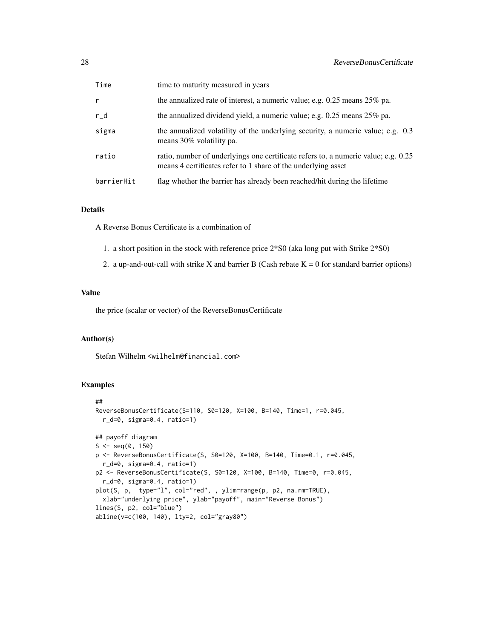| Time       | time to maturity measured in years                                                                                                                  |
|------------|-----------------------------------------------------------------------------------------------------------------------------------------------------|
| r          | the annualized rate of interest, a numeric value; e.g. 0.25 means 25% pa.                                                                           |
| r_d        | the annualized dividend yield, a numeric value; e.g. $0.25$ means $25\%$ pa.                                                                        |
| sigma      | the annualized volatility of the underlying security, a numeric value; e.g. 0.3<br>means 30% volatility pa.                                         |
| ratio      | ratio, number of underlyings one certificate refers to, a numeric value; e.g. 0.25<br>means 4 certificates refer to 1 share of the underlying asset |
| barrierHit | flag whether the barrier has already been reached/hit during the lifetime                                                                           |

# Details

A Reverse Bonus Certificate is a combination of

- 1. a short position in the stock with reference price 2\*S0 (aka long put with Strike 2\*S0)
- 2. a up-and-out-call with strike X and barrier B (Cash rebate  $K = 0$  for standard barrier options)

# Value

the price (scalar or vector) of the ReverseBonusCertificate

#### Author(s)

Stefan Wilhelm <wilhelm@financial.com>

```
##
ReverseBonusCertificate(S=110, S0=120, X=100, B=140, Time=1, r=0.045,
  r_d=0, sigma=0.4, ratio=1)
## payoff diagram
S \leq - \text{seq}(0, 150)p <- ReverseBonusCertificate(S, S0=120, X=100, B=140, Time=0.1, r=0.045,
  r_d=0, sigma=0.4, ratio=1)
p2 <- ReverseBonusCertificate(S, S0=120, X=100, B=140, Time=0, r=0.045,
  r_d=0, sigma=0.4, ratio=1)
plot(S, p, type="l", col="red", , ylim=range(p, p2, na.rm=TRUE),
  xlab="underlying price", ylab="payoff", main="Reverse Bonus")
lines(S, p2, col="blue")
abline(v=c(100, 140), lty=2, col="gray80")
```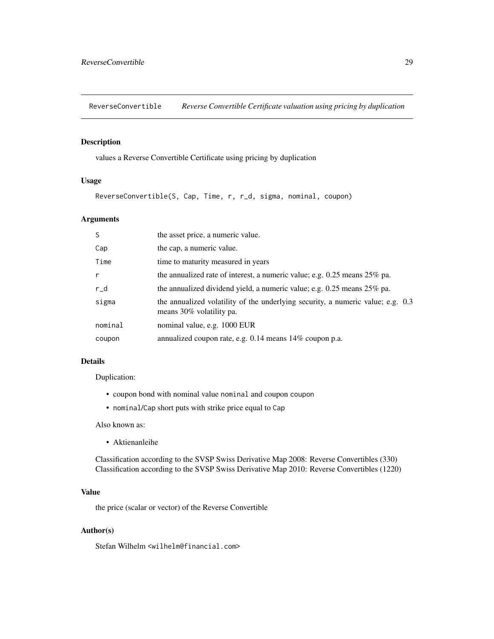<span id="page-28-1"></span><span id="page-28-0"></span>ReverseConvertible *Reverse Convertible Certificate valuation using pricing by duplication*

# Description

values a Reverse Convertible Certificate using pricing by duplication

#### Usage

ReverseConvertible(S, Cap, Time, r, r\_d, sigma, nominal, coupon)

# Arguments

| the asset price, a numeric value.                                                                           |
|-------------------------------------------------------------------------------------------------------------|
| the cap, a numeric value.                                                                                   |
| time to maturity measured in years                                                                          |
| the annualized rate of interest, a numeric value; e.g. $0.25$ means $25\%$ pa.                              |
| the annualized dividend yield, a numeric value; e.g. $0.25$ means $25\%$ pa.                                |
| the annualized volatility of the underlying security, a numeric value; e.g. 0.3<br>means 30% volatility pa. |
| nominal value, e.g. 1000 EUR                                                                                |
| annualized coupon rate, e.g. 0.14 means 14% coupon p.a.                                                     |
|                                                                                                             |

#### Details

Duplication:

- coupon bond with nominal value nominal and coupon coupon
- nominal/Cap short puts with strike price equal to Cap

Also known as:

• Aktienanleihe

Classification according to the SVSP Swiss Derivative Map 2008: Reverse Convertibles (330) Classification according to the SVSP Swiss Derivative Map 2010: Reverse Convertibles (1220)

# Value

the price (scalar or vector) of the Reverse Convertible

#### Author(s)

Stefan Wilhelm <wilhelm@financial.com>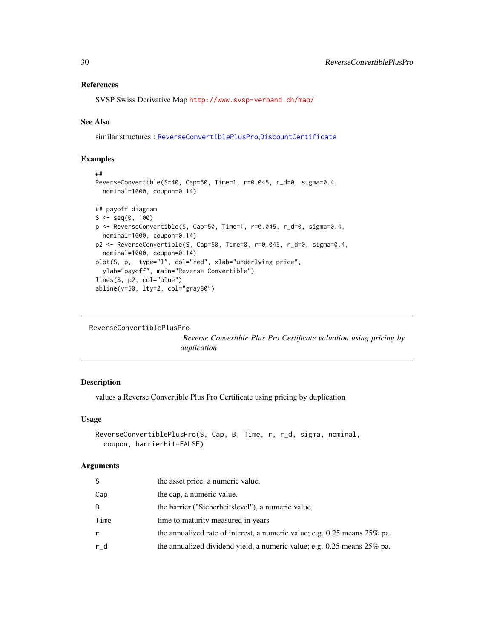#### <span id="page-29-0"></span>References

SVSP Swiss Derivative Map <http://www.svsp-verband.ch/map/>

#### See Also

similar structures : [ReverseConvertiblePlusPro](#page-29-1),[DiscountCertificate](#page-11-1)

# Examples

```
##
ReverseConvertible(S=40, Cap=50, Time=1, r=0.045, r_d=0, sigma=0.4,
  nominal=1000, coupon=0.14)
## payoff diagram
S \leq - \text{seq}(0, 100)p <- ReverseConvertible(S, Cap=50, Time=1, r=0.045, r_d=0, sigma=0.4,
  nominal=1000, coupon=0.14)
p2 <- ReverseConvertible(S, Cap=50, Time=0, r=0.045, r_d=0, sigma=0.4,
  nominal=1000, coupon=0.14)
plot(S, p, type="l", col="red", xlab="underlying price",
  ylab="payoff", main="Reverse Convertible")
lines(S, p2, col="blue")
abline(v=50, lty=2, col="gray80")
```

```
ReverseConvertiblePlusPro
```
*Reverse Convertible Plus Pro Certificate valuation using pricing by duplication*

#### Description

values a Reverse Convertible Plus Pro Certificate using pricing by duplication

#### Usage

```
ReverseConvertiblePlusPro(S, Cap, B, Time, r, r_d, sigma, nominal,
 coupon, barrierHit=FALSE)
```

| S    | the asset price, a numeric value.                                            |
|------|------------------------------------------------------------------------------|
| Cap  | the cap, a numeric value.                                                    |
| B    | the barrier ("Sicherheitslevel"), a numeric value.                           |
| Time | time to maturity measured in years                                           |
| r    | the annualized rate of interest, a numeric value; e.g. 0.25 means 25% pa.    |
| r_d  | the annualized dividend yield, a numeric value; e.g. $0.25$ means $25\%$ pa. |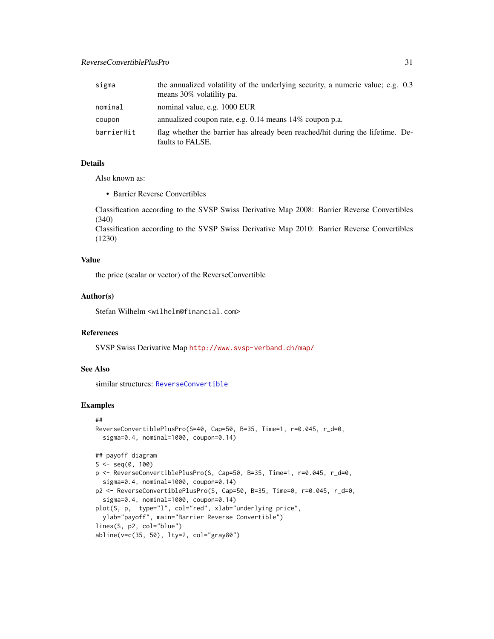<span id="page-30-0"></span>

| sigma      | the annualized volatility of the underlying security, a numeric value; e.g. 0.3<br>means 30% volatility pa. |
|------------|-------------------------------------------------------------------------------------------------------------|
| nominal    | nominal value, e.g. 1000 EUR                                                                                |
| coupon     | annualized coupon rate, e.g. $0.14$ means $14\%$ coupon p.a.                                                |
| barrierHit | flag whether the barrier has already been reached/hit during the lifetime. De-<br>faults to FALSE.          |

# Details

Also known as:

• Barrier Reverse Convertibles

Classification according to the SVSP Swiss Derivative Map 2008: Barrier Reverse Convertibles (340)

Classification according to the SVSP Swiss Derivative Map 2010: Barrier Reverse Convertibles (1230)

#### Value

the price (scalar or vector) of the ReverseConvertible

#### Author(s)

Stefan Wilhelm <wilhelm@financial.com>

# References

SVSP Swiss Derivative Map <http://www.svsp-verband.ch/map/>

# See Also

similar structures: [ReverseConvertible](#page-28-1)

```
##
ReverseConvertiblePlusPro(S=40, Cap=50, B=35, Time=1, r=0.045, r_d=0,
  sigma=0.4, nominal=1000, coupon=0.14)
## payoff diagram
S \leq - \text{seq}(0, 100)p <- ReverseConvertiblePlusPro(S, Cap=50, B=35, Time=1, r=0.045, r_d=0,
  sigma=0.4, nominal=1000, coupon=0.14)
p2 <- ReverseConvertiblePlusPro(S, Cap=50, B=35, Time=0, r=0.045, r_d=0,
  sigma=0.4, nominal=1000, coupon=0.14)
plot(S, p, type="l", col="red", xlab="underlying price",
  ylab="payoff", main="Barrier Reverse Convertible")
lines(S, p2, col="blue")
abline(v=c(35, 50), lty=2, col="gray80")
```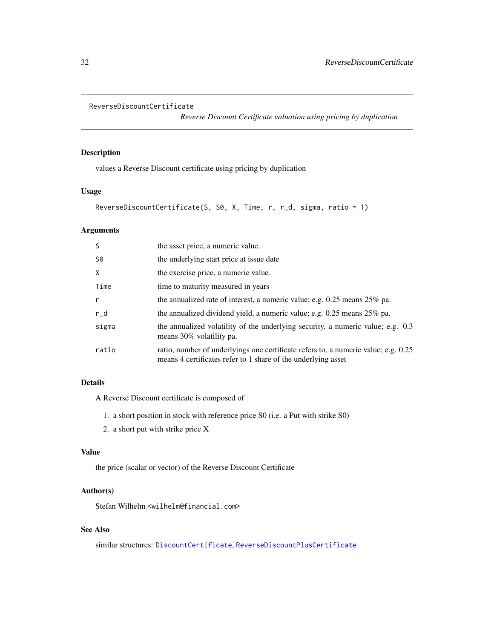```
ReverseDiscountCertificate
```
*Reverse Discount Certificate valuation using pricing by duplication*

# Description

values a Reverse Discount certificate using pricing by duplication

# Usage

```
ReverseDiscountCertificate(S, S0, X, Time, r, r_d, sigma, ratio = 1)
```
# Arguments

| S            | the asset price, a numeric value.                                                                                                                   |
|--------------|-----------------------------------------------------------------------------------------------------------------------------------------------------|
| S0           | the underlying start price at issue date                                                                                                            |
| X            | the exercise price, a numeric value.                                                                                                                |
| Time         | time to maturity measured in years                                                                                                                  |
| $\mathsf{r}$ | the annualized rate of interest, a numeric value; e.g. $0.25$ means $25\%$ pa.                                                                      |
| $r_d$        | the annualized dividend yield, a numeric value; e.g. 0.25 means 25% pa.                                                                             |
| sigma        | the annualized volatility of the underlying security, a numeric value; e.g. 0.3<br>means 30% volatility pa.                                         |
| ratio        | ratio, number of underlyings one certificate refers to, a numeric value; e.g. 0.25<br>means 4 certificates refer to 1 share of the underlying asset |

# Details

A Reverse Discount certificate is composed of

- 1. a short position in stock with reference price S0 (i.e. a Put with strike S0)
- 2. a short put with strike price X

#### Value

the price (scalar or vector) of the Reverse Discount Certificate

# Author(s)

Stefan Wilhelm <wilhelm@financial.com>

# See Also

similar structures: [DiscountCertificate](#page-11-1), [ReverseDiscountPlusCertificate](#page-32-1)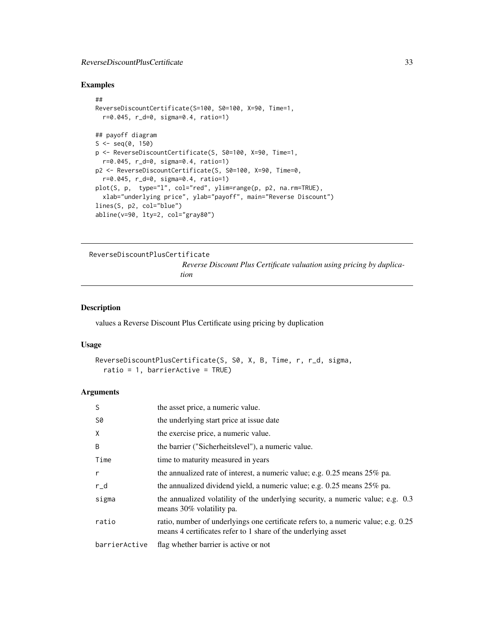# <span id="page-32-0"></span>ReverseDiscountPlusCertificate 33

#### Examples

```
##
ReverseDiscountCertificate(S=100, S0=100, X=90, Time=1,
  r=0.045, r_d=0, sigma=0.4, ratio=1)
## payoff diagram
S \leq - \text{seq}(0, 150)p <- ReverseDiscountCertificate(S, S0=100, X=90, Time=1,
  r=0.045, r_d=0, sigma=0.4, ratio=1)
p2 <- ReverseDiscountCertificate(S, S0=100, X=90, Time=0,
  r=0.045, r_d=0, sigma=0.4, ratio=1)
plot(S, p, type="l", col="red", ylim=range(p, p2, na.rm=TRUE),
 xlab="underlying price", ylab="payoff", main="Reverse Discount")
lines(S, p2, col="blue")
abline(v=90, lty=2, col="gray80")
```
<span id="page-32-1"></span>ReverseDiscountPlusCertificate

*Reverse Discount Plus Certificate valuation using pricing by duplication*

#### Description

values a Reverse Discount Plus Certificate using pricing by duplication

#### Usage

```
ReverseDiscountPlusCertificate(S, S0, X, B, Time, r, r_d, sigma,
  ratio = 1, barrierActive = TRUE)
```

| S             | the asset price, a numeric value.                                                                                                                   |
|---------------|-----------------------------------------------------------------------------------------------------------------------------------------------------|
| S0            | the underlying start price at issue date                                                                                                            |
| X             | the exercise price, a numeric value.                                                                                                                |
| B             | the barrier ("Sicherheitslevel"), a numeric value.                                                                                                  |
| Time          | time to maturity measured in years                                                                                                                  |
| $\mathsf{r}$  | the annualized rate of interest, a numeric value; e.g. 0.25 means 25% pa.                                                                           |
| r_d           | the annualized dividend yield, a numeric value; e.g. $0.25$ means $25\%$ pa.                                                                        |
| sigma         | the annualized volatility of the underlying security, a numeric value; e.g. 0.3<br>means 30% volatility pa.                                         |
| ratio         | ratio, number of underlyings one certificate refers to, a numeric value; e.g. 0.25<br>means 4 certificates refer to 1 share of the underlying asset |
| barrierActive | flag whether barrier is active or not                                                                                                               |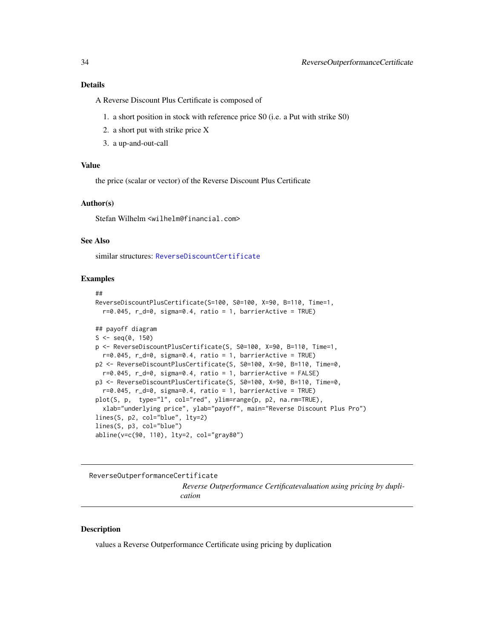<span id="page-33-0"></span>A Reverse Discount Plus Certificate is composed of

- 1. a short position in stock with reference price S0 (i.e. a Put with strike S0)
- 2. a short put with strike price X
- 3. a up-and-out-call

#### Value

the price (scalar or vector) of the Reverse Discount Plus Certificate

#### Author(s)

Stefan Wilhelm <wilhelm@financial.com>

#### See Also

similar structures: [ReverseDiscountCertificate](#page-31-1)

#### Examples

```
##
ReverseDiscountPlusCertificate(S=100, S0=100, X=90, B=110, Time=1,
  r=0.045, r_d=0, sigma=0.4, ratio = 1, barrierActive = TRUE)
## payoff diagram
S \leq - \text{seq}(0, 150)p <- ReverseDiscountPlusCertificate(S, S0=100, X=90, B=110, Time=1,
  r=0.045, r_d=0, sigma=0.4, ratio = 1, barrierActive = TRUE)
p2 <- ReverseDiscountPlusCertificate(S, S0=100, X=90, B=110, Time=0,
  r=0.045, r_d=0, sigma=0.4, ratio = 1, barrierActive = FALSE)
p3 <- ReverseDiscountPlusCertificate(S, S0=100, X=90, B=110, Time=0,
  r=0.045, r_d=0, sigma=0.4, ratio = 1, barrierActive = TRUE)
plot(S, p, type="l", col="red", ylim=range(p, p2, na.rm=TRUE),
  xlab="underlying price", ylab="payoff", main="Reverse Discount Plus Pro")
lines(S, p2, col="blue", lty=2)
lines(S, p3, col="blue")
abline(v=c(90, 110), lty=2, col="gray80")
```
ReverseOutperformanceCertificate

*Reverse Outperformance Certificatevaluation using pricing by duplication*

#### **Description**

values a Reverse Outperformance Certificate using pricing by duplication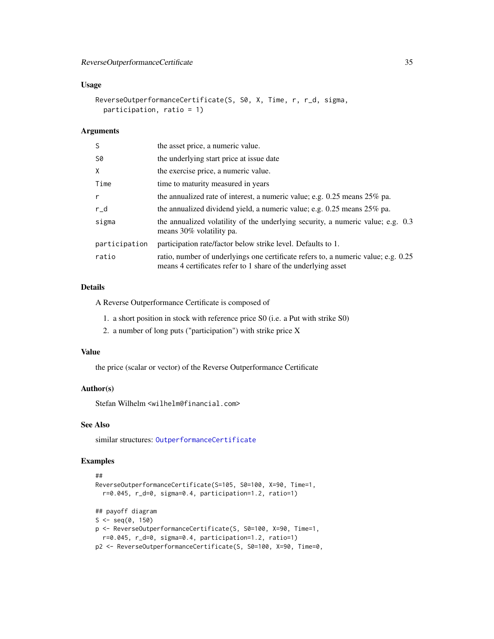# <span id="page-34-0"></span>Usage

```
ReverseOutperformanceCertificate(S, S0, X, Time, r, r_d, sigma,
 participation, ratio = 1)
```
# Arguments

| S             | the asset price, a numeric value.                                                                                                                   |
|---------------|-----------------------------------------------------------------------------------------------------------------------------------------------------|
| S0            | the underlying start price at issue date                                                                                                            |
| X             | the exercise price, a numeric value.                                                                                                                |
| Time          | time to maturity measured in years                                                                                                                  |
| r             | the annualized rate of interest, a numeric value; e.g. $0.25$ means $25\%$ pa.                                                                      |
| $r_d$         | the annualized dividend yield, a numeric value; e.g. $0.25$ means $25\%$ pa.                                                                        |
| sigma         | the annualized volatility of the underlying security, a numeric value; e.g. 0.3<br>means 30% volatility pa.                                         |
| participation | participation rate/factor below strike level. Defaults to 1.                                                                                        |
| ratio         | ratio, number of underlyings one certificate refers to, a numeric value; e.g. 0.25<br>means 4 certificates refer to 1 share of the underlying asset |

#### Details

A Reverse Outperformance Certificate is composed of

- 1. a short position in stock with reference price S0 (i.e. a Put with strike S0)
- 2. a number of long puts ("participation") with strike price X

#### Value

the price (scalar or vector) of the Reverse Outperformance Certificate

#### Author(s)

Stefan Wilhelm <wilhelm@financial.com>

# See Also

similar structures: [OutperformanceCertificate](#page-21-1)

```
##
ReverseOutperformanceCertificate(S=105, S0=100, X=90, Time=1,
  r=0.045, r_d=0, sigma=0.4, participation=1.2, ratio=1)
## payoff diagram
S \leq -seq(0, 150)p <- ReverseOutperformanceCertificate(S, S0=100, X=90, Time=1,
  r=0.045, r_d=0, sigma=0.4, participation=1.2, ratio=1)
p2 <- ReverseOutperformanceCertificate(S, S0=100, X=90, Time=0,
```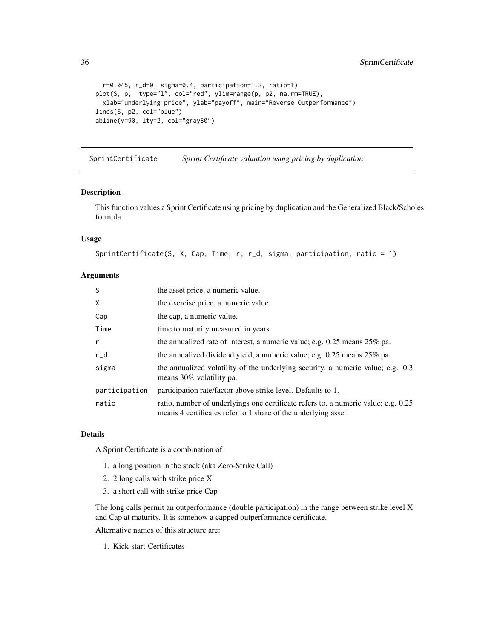```
36 SprintCertificate
```

```
r=0.045, r_d=0, sigma=0.4, participation=1.2, ratio=1)
plot(S, p, type="l", col="red", ylim=range(p, p2, na.rm=TRUE),
  xlab="underlying price", ylab="payoff", main="Reverse Outperformance")
lines(S, p2, col="blue")
abline(v=90, lty=2, col="gray80")
```
SprintCertificate *Sprint Certificate valuation using pricing by duplication*

#### Description

This function values a Sprint Certificate using pricing by duplication and the Generalized Black/Scholes formula.

# Usage

```
SprintCertificate(S, X, Cap, Time, r, r_d, sigma, participation, ratio = 1)
```
# Arguments

| S             | the asset price, a numeric value.                                                                                                                   |
|---------------|-----------------------------------------------------------------------------------------------------------------------------------------------------|
| X             | the exercise price, a numeric value.                                                                                                                |
| Cap           | the cap, a numeric value.                                                                                                                           |
| Time          | time to maturity measured in years                                                                                                                  |
| r             | the annualized rate of interest, a numeric value; e.g. $0.25$ means $25\%$ pa.                                                                      |
| $r_d$         | the annualized dividend yield, a numeric value; e.g. $0.25$ means $25\%$ pa.                                                                        |
| sigma         | the annualized volatility of the underlying security, a numeric value; e.g. 0.3<br>means 30% volatility pa.                                         |
| participation | participation rate/factor above strike level. Defaults to 1.                                                                                        |
| ratio         | ratio, number of underlyings one certificate refers to, a numeric value; e.g. 0.25<br>means 4 certificates refer to 1 share of the underlying asset |

#### Details

A Sprint Certificate is a combination of

- 1. a long position in the stock (aka Zero-Strike Call)
- 2. 2 long calls with strike price X
- 3. a short call with strike price Cap

The long calls permit an outperformance (double participation) in the range between strike level X and Cap at maturity. It is somehow a capped outperformance certificate.

Alternative names of this structure are:

1. Kick-start-Certificates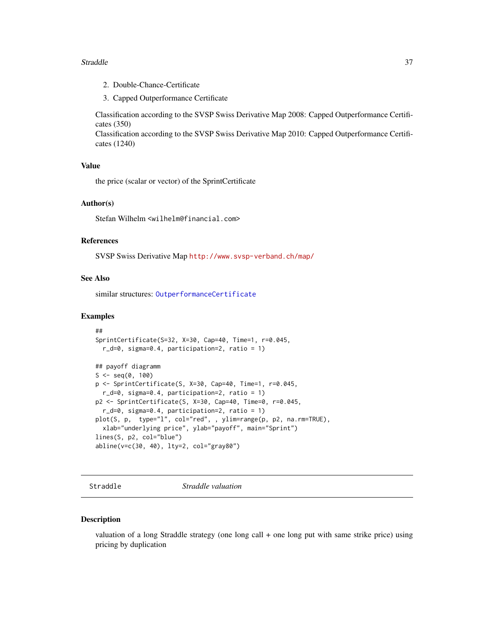#### <span id="page-36-0"></span>Straddle 37

- 2. Double-Chance-Certificate
- 3. Capped Outperformance Certificate

Classification according to the SVSP Swiss Derivative Map 2008: Capped Outperformance Certificates (350)

Classification according to the SVSP Swiss Derivative Map 2010: Capped Outperformance Certificates (1240)

#### Value

the price (scalar or vector) of the SprintCertificate

#### Author(s)

Stefan Wilhelm <wilhelm@financial.com>

# References

SVSP Swiss Derivative Map <http://www.svsp-verband.ch/map/>

# See Also

similar structures: [OutperformanceCertificate](#page-21-1)

#### Examples

```
##
SprintCertificate(S=32, X=30, Cap=40, Time=1, r=0.045,
 r_d=0, sigma=0.4, participation=2, ratio = 1)
## payoff diagramm
S \leq -seq(0, 100)p <- SprintCertificate(S, X=30, Cap=40, Time=1, r=0.045,
 r_d=0, sigma=0.4, participation=2, ratio = 1)
p2 <- SprintCertificate(S, X=30, Cap=40, Time=0, r=0.045,
 r_d=0, sigma=0.4, participation=2, ratio = 1)
plot(S, p, type="l", col="red", , ylim=range(p, p2, na.rm=TRUE),
 xlab="underlying price", ylab="payoff", main="Sprint")
lines(S, p2, col="blue")
abline(v=c(30, 40), lty=2, col="gray80")
```
<span id="page-36-1"></span>Straddle *Straddle valuation*

#### Description

valuation of a long Straddle strategy (one long call + one long put with same strike price) using pricing by duplication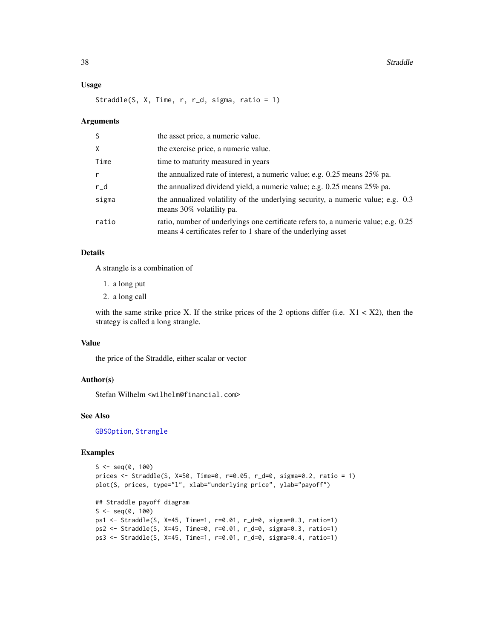#### Usage

Straddle(S, X, Time, r, r\_d, sigma, ratio = 1)

#### Arguments

| <sub>S</sub> | the asset price, a numeric value.                                                                                                                   |
|--------------|-----------------------------------------------------------------------------------------------------------------------------------------------------|
| X            | the exercise price, a numeric value.                                                                                                                |
| Time         | time to maturity measured in years                                                                                                                  |
| $\mathsf{r}$ | the annualized rate of interest, a numeric value; e.g. $0.25$ means $25\%$ pa.                                                                      |
| $r_d$        | the annualized dividend yield, a numeric value; e.g. 0.25 means 25% pa.                                                                             |
| sigma        | the annualized volatility of the underlying security, a numeric value; e.g. 0.3<br>means 30% volatility pa.                                         |
| ratio        | ratio, number of underlyings one certificate refers to, a numeric value; e.g. 0.25<br>means 4 certificates refer to 1 share of the underlying asset |

# Details

A strangle is a combination of

- 1. a long put
- 2. a long call

with the same strike price X. If the strike prices of the 2 options differ (i.e.  $X1 < X2$ ), then the strategy is called a long strangle.

#### Value

the price of the Straddle, either scalar or vector

# Author(s)

Stefan Wilhelm <wilhelm@financial.com>

# See Also

[GBSOption](#page-0-0), [Strangle](#page-38-1)

```
S \leq -seq(0, 100)prices <- Straddle(S, X=50, Time=0, r=0.05, r_d=0, sigma=0.2, ratio = 1)
plot(S, prices, type="l", xlab="underlying price", ylab="payoff")
## Straddle payoff diagram
S \leq - \text{seq}(0, 100)ps1 <- Straddle(S, X=45, Time=1, r=0.01, r_d=0, sigma=0.3, ratio=1)
ps2 <- Straddle(S, X=45, Time=0, r=0.01, r_d=0, sigma=0.3, ratio=1)
ps3 <- Straddle(S, X=45, Time=1, r=0.01, r_d=0, sigma=0.4, ratio=1)
```
<span id="page-37-0"></span>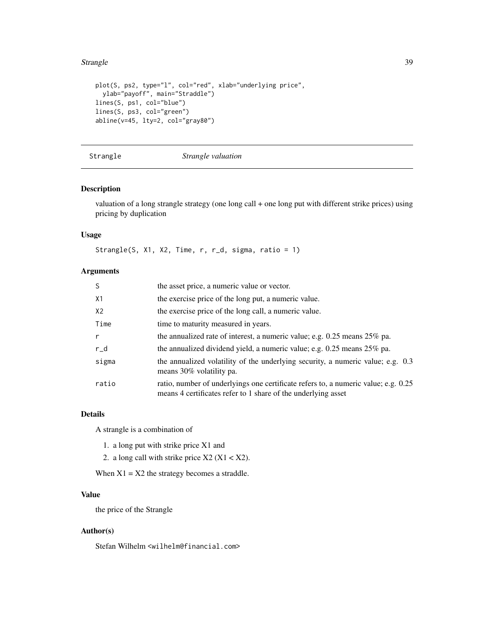#### <span id="page-38-0"></span>Strangle 39

```
plot(S, ps2, type="l", col="red", xlab="underlying price",
  ylab="payoff", main="Straddle")
lines(S, ps1, col="blue")
lines(S, ps3, col="green")
abline(v=45, lty=2, col="gray80")
```
<span id="page-38-1"></span>Strangle *Strangle valuation*

# Description

valuation of a long strangle strategy (one long call + one long put with different strike prices) using pricing by duplication

# Usage

Strangle(S, X1, X2, Time, r, r\_d, sigma, ratio = 1)

# Arguments

| -S           | the asset price, a numeric value or vector.                                                                                                         |
|--------------|-----------------------------------------------------------------------------------------------------------------------------------------------------|
| X1           | the exercise price of the long put, a numeric value.                                                                                                |
| X2           | the exercise price of the long call, a numeric value.                                                                                               |
| Time         | time to maturity measured in years.                                                                                                                 |
| $\mathsf{r}$ | the annualized rate of interest, a numeric value; e.g. $0.25$ means $25\%$ pa.                                                                      |
| $r_d$        | the annualized dividend yield, a numeric value; e.g. $0.25$ means $25\%$ pa.                                                                        |
| sigma        | the annualized volatility of the underlying security, a numeric value; e.g. 0.3<br>means 30% volatility pa.                                         |
| ratio        | ratio, number of underlyings one certificate refers to, a numeric value; e.g. 0.25<br>means 4 certificates refer to 1 share of the underlying asset |

# Details

A strangle is a combination of

- 1. a long put with strike price X1 and
- 2. a long call with strike price  $X2 (X1 < X2)$ .

When  $X1 = X2$  the strategy becomes a straddle.

# Value

the price of the Strangle

# Author(s)

Stefan Wilhelm <wilhelm@financial.com>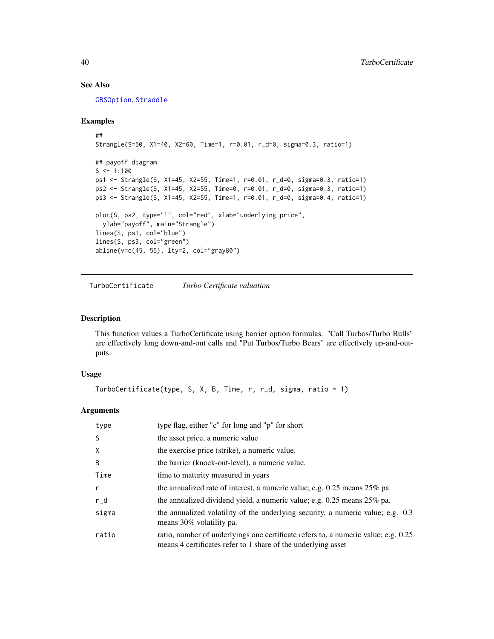# See Also

[GBSOption](#page-0-0), [Straddle](#page-36-1)

#### Examples

```
##
Strangle(S=50, X1=40, X2=60, Time=1, r=0.01, r_d=0, sigma=0.3, ratio=1)
## payoff diagram
S < -1:100ps1 <- Strangle(S, X1=45, X2=55, Time=1, r=0.01, r_d=0, sigma=0.3, ratio=1)
ps2 <- Strangle(S, X1=45, X2=55, Time=0, r=0.01, r_d=0, sigma=0.3, ratio=1)
ps3 <- Strangle(S, X1=45, X2=55, Time=1, r=0.01, r_d=0, sigma=0.4, ratio=1)
plot(S, ps2, type="l", col="red", xlab="underlying price",
 ylab="payoff", main="Strangle")
lines(S, ps1, col="blue")
lines(S, ps3, col="green")
abline(v=c(45, 55), lty=2, col="gray80")
```
TurboCertificate *Turbo Certificate valuation*

# Description

This function values a TurboCertificate using barrier option formulas. "Call Turbos/Turbo Bulls" are effectively long down-and-out calls and "Put Turbos/Turbo Bears" are effectively up-and-outputs.

# Usage

```
TurboCertificate(type, S, X, B, Time, r, r_d, sigma, ratio = 1)
```

| type         | type flag, either "c" for long and "p" for short                                                                                                    |
|--------------|-----------------------------------------------------------------------------------------------------------------------------------------------------|
| <sub>S</sub> | the asset price, a numeric value                                                                                                                    |
| X            | the exercise price (strike), a numeric value.                                                                                                       |
| B            | the barrier (knock-out-level), a numeric value.                                                                                                     |
| Time         | time to maturity measured in years                                                                                                                  |
| $\mathsf{r}$ | the annualized rate of interest, a numeric value; e.g. $0.25$ means $25\%$ pa.                                                                      |
| $r_d$        | the annualized dividend yield, a numeric value; e.g. $0.25$ means $25\%$ pa.                                                                        |
| sigma        | the annualized volatility of the underlying security, a numeric value; e.g. 0.3<br>means 30% volatility pa.                                         |
| ratio        | ratio, number of underlyings one certificate refers to, a numeric value; e.g. 0.25<br>means 4 certificates refer to 1 share of the underlying asset |

<span id="page-39-0"></span>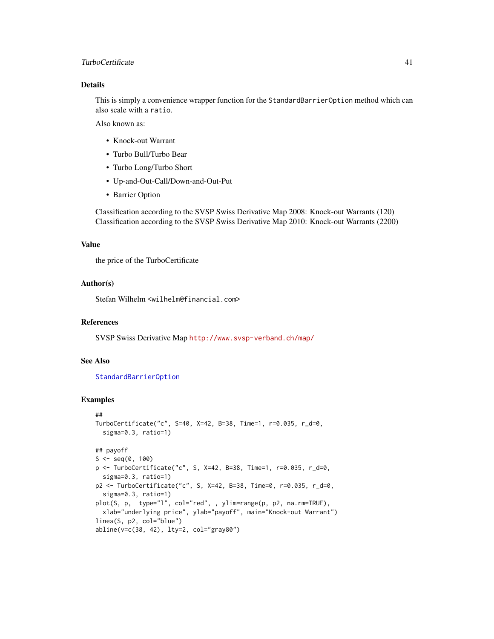# <span id="page-40-0"></span>TurboCertificate 41

# Details

This is simply a convenience wrapper function for the StandardBarrierOption method which can also scale with a ratio.

Also known as:

- Knock-out Warrant
- Turbo Bull/Turbo Bear
- Turbo Long/Turbo Short
- Up-and-Out-Call/Down-and-Out-Put
- Barrier Option

Classification according to the SVSP Swiss Derivative Map 2008: Knock-out Warrants (120) Classification according to the SVSP Swiss Derivative Map 2010: Knock-out Warrants (2200)

#### Value

the price of the TurboCertificate

# Author(s)

Stefan Wilhelm <wilhelm@financial.com>

#### References

SVSP Swiss Derivative Map <http://www.svsp-verband.ch/map/>

# See Also

#### [StandardBarrierOption](#page-0-0)

```
##
TurboCertificate("c", S=40, X=42, B=38, Time=1, r=0.035, r_d=0,
  sigma=0.3, ratio=1)
## payoff
S \leq - \text{seq}(0, 100)p <- TurboCertificate("c", S, X=42, B=38, Time=1, r=0.035, r_d=0,
  sigma=0.3, ratio=1)
p2 <- TurboCertificate("c", S, X=42, B=38, Time=0, r=0.035, r_d=0,
  sigma=0.3, ratio=1)
plot(S, p, type="l", col="red", , ylim=range(p, p2, na.rm=TRUE),
  xlab="underlying price", ylab="payoff", main="Knock-out Warrant")
lines(S, p2, col="blue")
abline(v=c(38, 42), lty=2, col="gray80")
```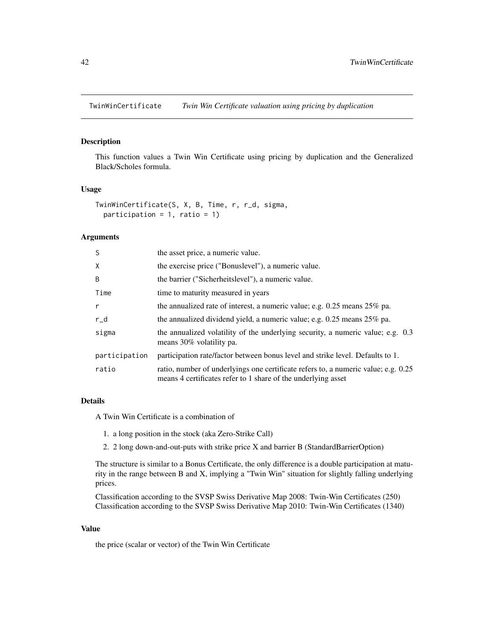<span id="page-41-0"></span>TwinWinCertificate *Twin Win Certificate valuation using pricing by duplication*

# Description

This function values a Twin Win Certificate using pricing by duplication and the Generalized Black/Scholes formula.

#### Usage

```
TwinWinCertificate(S, X, B, Time, r, r_d, sigma,
 participation = 1, ratio = 1)
```
# Arguments

| the asset price, a numeric value.                                                                                                                   |
|-----------------------------------------------------------------------------------------------------------------------------------------------------|
| the exercise price ("Bonuslevel"), a numeric value.                                                                                                 |
| the barrier ("Sicherheitslevel"), a numeric value.                                                                                                  |
| time to maturity measured in years                                                                                                                  |
| the annualized rate of interest, a numeric value; e.g. $0.25$ means $25\%$ pa.                                                                      |
| the annualized dividend yield, a numeric value; e.g. 0.25 means 25% pa.                                                                             |
| the annualized volatility of the underlying security, a numeric value; e.g. 0.3<br>means 30% volatility pa.                                         |
| participation rate/factor between bonus level and strike level. Defaults to 1.                                                                      |
| ratio, number of underlyings one certificate refers to, a numeric value; e.g. 0.25<br>means 4 certificates refer to 1 share of the underlying asset |
|                                                                                                                                                     |

# Details

A Twin Win Certificate is a combination of

- 1. a long position in the stock (aka Zero-Strike Call)
- 2. 2 long down-and-out-puts with strike price X and barrier B (StandardBarrierOption)

The structure is similar to a Bonus Certificate, the only difference is a double participation at maturity in the range between B and X, implying a "Twin Win" situation for slightly falling underlying prices.

Classification according to the SVSP Swiss Derivative Map 2008: Twin-Win Certificates (250) Classification according to the SVSP Swiss Derivative Map 2010: Twin-Win Certificates (1340)

# Value

the price (scalar or vector) of the Twin Win Certificate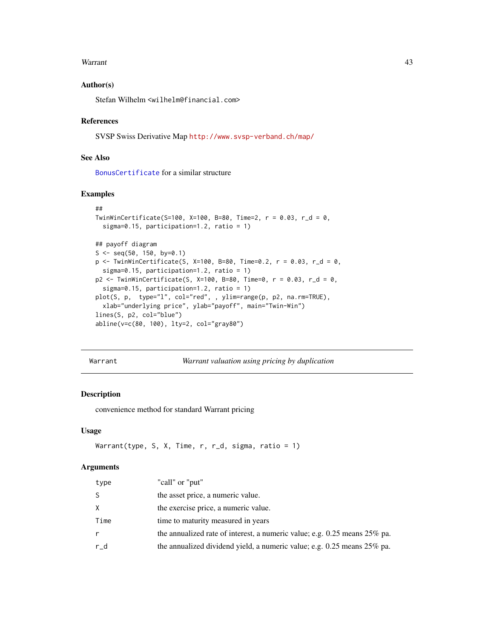#### <span id="page-42-0"></span>Warrant **43**

# Author(s)

Stefan Wilhelm <wilhelm@financial.com>

#### References

SVSP Swiss Derivative Map <http://www.svsp-verband.ch/map/>

#### See Also

[BonusCertificate](#page-2-1) for a similar structure

#### Examples

```
##
TwinWinCertificate(S=100, X=100, B=80, Time=2, r = 0.03, r_d = 0,
  sigma=0.15, participation=1.2, ratio = 1)
## payoff diagram
S \leq -\text{seq}(50, 150, \text{ by=0.1})p \leftarrow TwinWinCertificate(S, X=100, B=80, Time=0.2, r = 0.03, r_d = 0,
  sigma=0.15, participation=1.2, ratio = 1)
p2 <- TwinWinCertificate(S, X=100, B=80, Time=0, r = 0.03, r_d = 0,
  sigma=0.15, participation=1.2, ratio = 1)
plot(S, p, type="l", col="red", , ylim=range(p, p2, na.rm=TRUE),
  xlab="underlying price", ylab="payoff", main="Twin-Win")
lines(S, p2, col="blue")
abline(v=c(80, 100), lty=2, col="gray80")
```
Warrant *Warrant valuation using pricing by duplication*

# Description

convenience method for standard Warrant pricing

# Usage

```
Warrant(type, S, X, Time, r, r_d, sigma, ratio = 1)
```

| type  | "call" or "put"                                                                |
|-------|--------------------------------------------------------------------------------|
| S     | the asset price, a numeric value.                                              |
| X.    | the exercise price, a numeric value.                                           |
| Time  | time to maturity measured in years                                             |
| r     | the annualized rate of interest, a numeric value; e.g. $0.25$ means $25\%$ pa. |
| $r_d$ | the annualized dividend yield, a numeric value; e.g. $0.25$ means $25\%$ pa.   |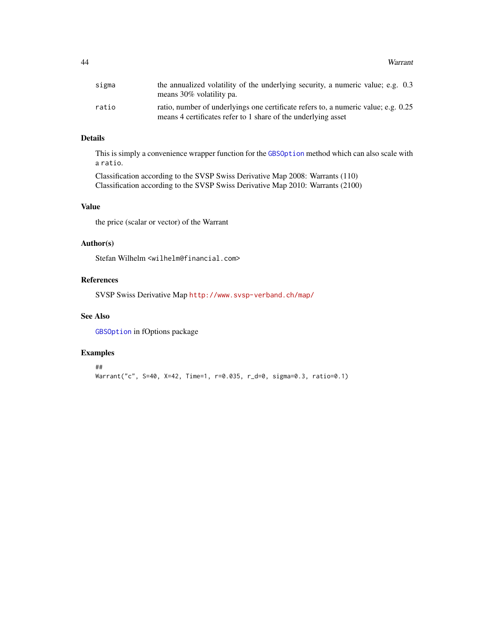<span id="page-43-0"></span>

| sigma | the annualized volatility of the underlying security, a numeric value; e.g. 0.3<br>means 30% volatility pa.                                         |
|-------|-----------------------------------------------------------------------------------------------------------------------------------------------------|
| ratio | ratio, number of underlyings one certificate refers to, a numeric value; e.g. 0.25<br>means 4 certificates refer to 1 share of the underlying asset |

# Details

This is simply a convenience wrapper function for the [GBSOption](#page-0-0) method which can also scale with a ratio.

Classification according to the SVSP Swiss Derivative Map 2008: Warrants (110) Classification according to the SVSP Swiss Derivative Map 2010: Warrants (2100)

#### Value

the price (scalar or vector) of the Warrant

# Author(s)

Stefan Wilhelm <wilhelm@financial.com>

# References

SVSP Swiss Derivative Map <http://www.svsp-verband.ch/map/>

# See Also

[GBSOption](#page-0-0) in fOptions package

```
##
Warrant("c", S=40, X=42, Time=1, r=0.035, r_d=0, sigma=0.3, ratio=0.1)
```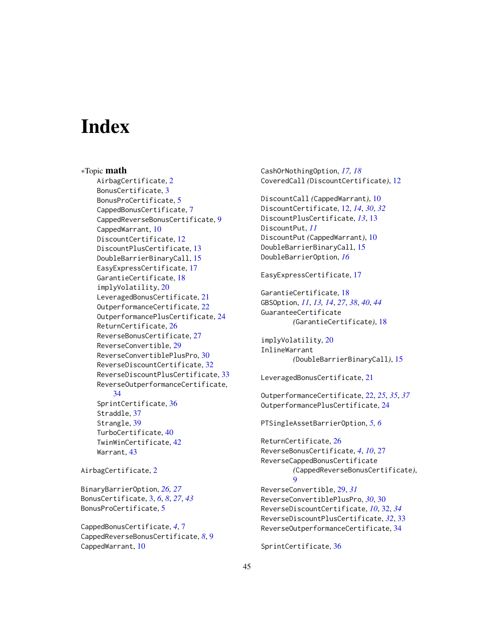# <span id="page-44-0"></span>**Index**

∗Topic math AirbagCertificate, [2](#page-1-0) BonusCertificate, [3](#page-2-0) BonusProCertificate, [5](#page-4-0) CappedBonusCertificate, [7](#page-6-0) CappedReverseBonusCertificate, [9](#page-8-0) CappedWarrant, [10](#page-9-0) DiscountCertificate, [12](#page-11-0) DiscountPlusCertificate, [13](#page-12-0) DoubleBarrierBinaryCall, [15](#page-14-0) EasyExpressCertificate, [17](#page-16-0) GarantieCertificate, [18](#page-17-0) implyVolatility, [20](#page-19-0) LeveragedBonusCertificate, [21](#page-20-0) OutperformanceCertificate, [22](#page-21-0) OutperformancePlusCertificate, [24](#page-23-0) ReturnCertificate, [26](#page-25-0) ReverseBonusCertificate, [27](#page-26-0) ReverseConvertible, [29](#page-28-0) ReverseConvertiblePlusPro, [30](#page-29-0) ReverseDiscountCertificate, [32](#page-31-0) ReverseDiscountPlusCertificate, [33](#page-32-0) ReverseOutperformanceCertificate, [34](#page-33-0) SprintCertificate, [36](#page-35-0) Straddle, [37](#page-36-0) Strangle, [39](#page-38-0) TurboCertificate, [40](#page-39-0) TwinWinCertificate, [42](#page-41-0) Warrant, [43](#page-42-0)

AirbagCertificate, [2](#page-1-0)

BinaryBarrierOption, *[26,](#page-25-0) [27](#page-26-0)* BonusCertificate, [3,](#page-2-0) *[6](#page-5-0)*, *[8](#page-7-0)*, *[27](#page-26-0)*, *[43](#page-42-0)* BonusProCertificate, [5](#page-4-0)

CappedBonusCertificate, *[4](#page-3-0)*, [7](#page-6-0) CappedReverseBonusCertificate, *[8](#page-7-0)*, [9](#page-8-0) CappedWarrant, [10](#page-9-0)

CashOrNothingOption, *[17,](#page-16-0) [18](#page-17-0)* CoveredCall *(*DiscountCertificate*)*, [12](#page-11-0) DiscountCall *(*CappedWarrant*)*, [10](#page-9-0) DiscountCertificate, [12,](#page-11-0) *[14](#page-13-0)*, *[30](#page-29-0)*, *[32](#page-31-0)* DiscountPlusCertificate, *[13](#page-12-0)*, [13](#page-12-0) DiscountPut, *[11](#page-10-0)* DiscountPut *(*CappedWarrant*)*, [10](#page-9-0) DoubleBarrierBinaryCall, [15](#page-14-0) DoubleBarrierOption, *[16](#page-15-0)* EasyExpressCertificate, [17](#page-16-0) GarantieCertificate, [18](#page-17-0) GBSOption, *[11](#page-10-0)*, *[13,](#page-12-0) [14](#page-13-0)*, *[27](#page-26-0)*, *[38](#page-37-0)*, *[40](#page-39-0)*, *[44](#page-43-0)* GuaranteeCertificate *(*GarantieCertificate*)*, [18](#page-17-0) implyVolatility, [20](#page-19-0) InlineWarrant *(*DoubleBarrierBinaryCall*)*, [15](#page-14-0) LeveragedBonusCertificate, [21](#page-20-0) OutperformanceCertificate, [22,](#page-21-0) *[25](#page-24-0)*, *[35](#page-34-0)*, *[37](#page-36-0)* OutperformancePlusCertificate, [24](#page-23-0) PTSingleAssetBarrierOption, *[5,](#page-4-0) [6](#page-5-0)* ReturnCertificate, [26](#page-25-0) ReverseBonusCertificate, *[4](#page-3-0)*, *[10](#page-9-0)*, [27](#page-26-0) ReverseCappedBonusCertificate *(*CappedReverseBonusCertificate*)*, [9](#page-8-0) ReverseConvertible, [29,](#page-28-0) *[31](#page-30-0)* ReverseConvertiblePlusPro, *[30](#page-29-0)*, [30](#page-29-0) ReverseDiscountCertificate, *[10](#page-9-0)*, [32,](#page-31-0) *[34](#page-33-0)* ReverseDiscountPlusCertificate, *[32](#page-31-0)*, [33](#page-32-0) ReverseOutperformanceCertificate, [34](#page-33-0) SprintCertificate, [36](#page-35-0)